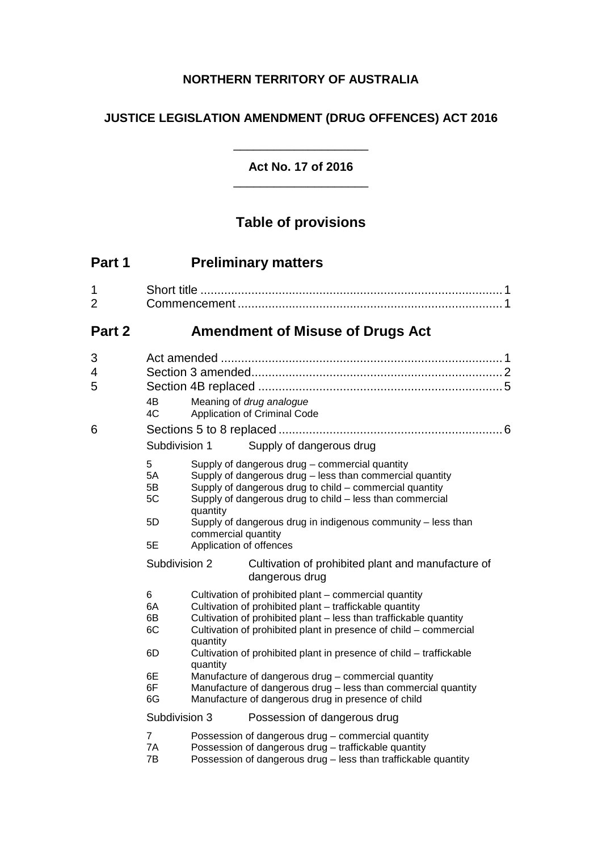# **NORTHERN TERRITORY OF AUSTRALIA**

# **JUSTICE LEGISLATION AMENDMENT (DRUG OFFENCES) ACT 2016**

# **Act No. 17 of 2016** \_\_\_\_\_\_\_\_\_\_\_\_\_\_\_\_\_\_\_\_

\_\_\_\_\_\_\_\_\_\_\_\_\_\_\_\_\_\_\_\_

# **Table of provisions**

| Part 1              |                                                                    | <b>Preliminary matters</b>                                                                                                                                                                                                                                                                                                                               |  |
|---------------------|--------------------------------------------------------------------|----------------------------------------------------------------------------------------------------------------------------------------------------------------------------------------------------------------------------------------------------------------------------------------------------------------------------------------------------------|--|
| 1<br>$\overline{2}$ |                                                                    |                                                                                                                                                                                                                                                                                                                                                          |  |
| Part 2              |                                                                    | <b>Amendment of Misuse of Drugs Act</b>                                                                                                                                                                                                                                                                                                                  |  |
| 3<br>4<br>5         | 4Β<br>4C                                                           | Meaning of drug analogue<br>Application of Criminal Code                                                                                                                                                                                                                                                                                                 |  |
| 6                   | Subdivision 1                                                      |                                                                                                                                                                                                                                                                                                                                                          |  |
|                     | 5<br>5A<br>5B<br>5C<br>quantity<br>5D<br>commercial quantity<br>5E | Supply of dangerous drug<br>Supply of dangerous drug - commercial quantity<br>Supply of dangerous drug - less than commercial quantity<br>Supply of dangerous drug to child - commercial quantity<br>Supply of dangerous drug to child - less than commercial<br>Supply of dangerous drug in indigenous community - less than<br>Application of offences |  |
|                     | Subdivision 2                                                      | Cultivation of prohibited plant and manufacture of<br>dangerous drug                                                                                                                                                                                                                                                                                     |  |
|                     | 6<br>6A<br>6В<br>6C<br>quantity<br>6D                              | Cultivation of prohibited plant – commercial quantity<br>Cultivation of prohibited plant - traffickable quantity<br>Cultivation of prohibited plant - less than traffickable quantity<br>Cultivation of prohibited plant in presence of child - commercial<br>Cultivation of prohibited plant in presence of child - traffickable                        |  |
|                     | quantity<br>6E<br>6F<br>6G                                         | Manufacture of dangerous drug - commercial quantity<br>Manufacture of dangerous drug - less than commercial quantity<br>Manufacture of dangerous drug in presence of child                                                                                                                                                                               |  |
|                     | Subdivision 3                                                      | Possession of dangerous drug                                                                                                                                                                                                                                                                                                                             |  |
|                     | $\overline{7}$<br>7A<br>7Β                                         | Possession of dangerous drug - commercial quantity<br>Possession of dangerous drug - traffickable quantity<br>Possession of dangerous drug - less than traffickable quantity                                                                                                                                                                             |  |
|                     |                                                                    |                                                                                                                                                                                                                                                                                                                                                          |  |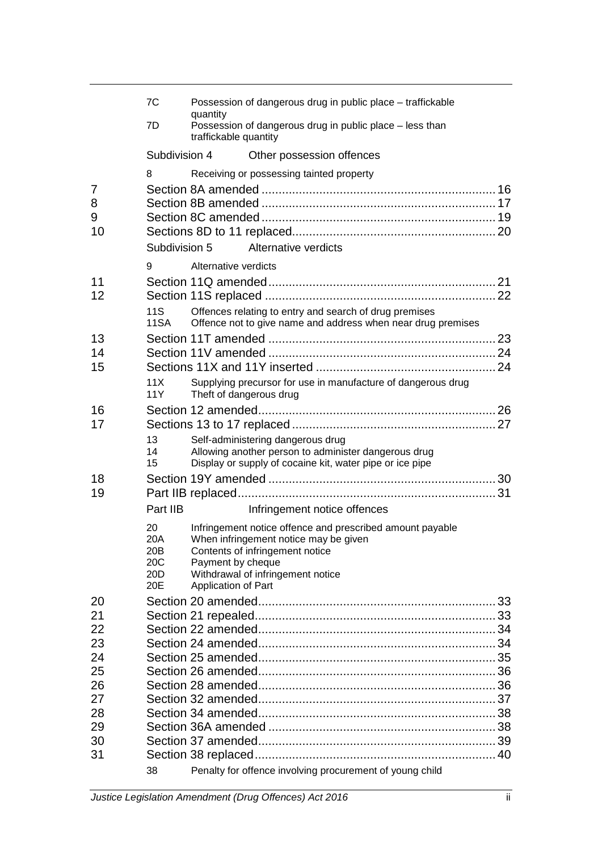|                   | 7C                                                | quantity                                 | Possession of dangerous drug in public place - traffickable                                                                                                                |  |
|-------------------|---------------------------------------------------|------------------------------------------|----------------------------------------------------------------------------------------------------------------------------------------------------------------------------|--|
|                   | 7D                                                | traffickable quantity                    | Possession of dangerous drug in public place - less than                                                                                                                   |  |
|                   | Subdivision 4                                     |                                          | Other possession offences                                                                                                                                                  |  |
|                   | 8                                                 |                                          | Receiving or possessing tainted property                                                                                                                                   |  |
| 7<br>8<br>9<br>10 |                                                   |                                          |                                                                                                                                                                            |  |
|                   | Subdivision 5                                     |                                          | Alternative verdicts                                                                                                                                                       |  |
|                   | 9                                                 | Alternative verdicts                     |                                                                                                                                                                            |  |
| 11<br>12          | 11S<br><b>11SA</b>                                |                                          | Offences relating to entry and search of drug premises<br>Offence not to give name and address when near drug premises                                                     |  |
| 13                |                                                   |                                          |                                                                                                                                                                            |  |
| 14                |                                                   |                                          |                                                                                                                                                                            |  |
| 15                |                                                   |                                          |                                                                                                                                                                            |  |
|                   | 11X<br>11Y                                        | Theft of dangerous drug                  | Supplying precursor for use in manufacture of dangerous drug                                                                                                               |  |
| 16                |                                                   |                                          |                                                                                                                                                                            |  |
| 17                |                                                   |                                          |                                                                                                                                                                            |  |
|                   | 13<br>14<br>15                                    |                                          | Self-administering dangerous drug<br>Allowing another person to administer dangerous drug<br>Display or supply of cocaine kit, water pipe or ice pipe                      |  |
| 18                |                                                   |                                          |                                                                                                                                                                            |  |
| 19                |                                                   |                                          |                                                                                                                                                                            |  |
|                   | Part IIB                                          |                                          | Infringement notice offences                                                                                                                                               |  |
|                   | 20<br>20A<br>20B<br>20C<br>20 <sub>D</sub><br>20E | Payment by cheque<br>Application of Part | Infringement notice offence and prescribed amount payable<br>When infringement notice may be given<br>Contents of infringement notice<br>Withdrawal of infringement notice |  |
| 20                |                                                   |                                          |                                                                                                                                                                            |  |
| 21                |                                                   |                                          |                                                                                                                                                                            |  |
| 22                |                                                   |                                          |                                                                                                                                                                            |  |
| 23                |                                                   |                                          |                                                                                                                                                                            |  |
| 24                |                                                   |                                          |                                                                                                                                                                            |  |
| 25                |                                                   |                                          |                                                                                                                                                                            |  |
| 26                |                                                   |                                          |                                                                                                                                                                            |  |
| 27                |                                                   |                                          |                                                                                                                                                                            |  |
| 28                |                                                   |                                          |                                                                                                                                                                            |  |
| 29                |                                                   |                                          |                                                                                                                                                                            |  |
| 30<br>31          |                                                   |                                          |                                                                                                                                                                            |  |
|                   | 38                                                |                                          | Penalty for offence involving procurement of young child                                                                                                                   |  |
|                   |                                                   |                                          |                                                                                                                                                                            |  |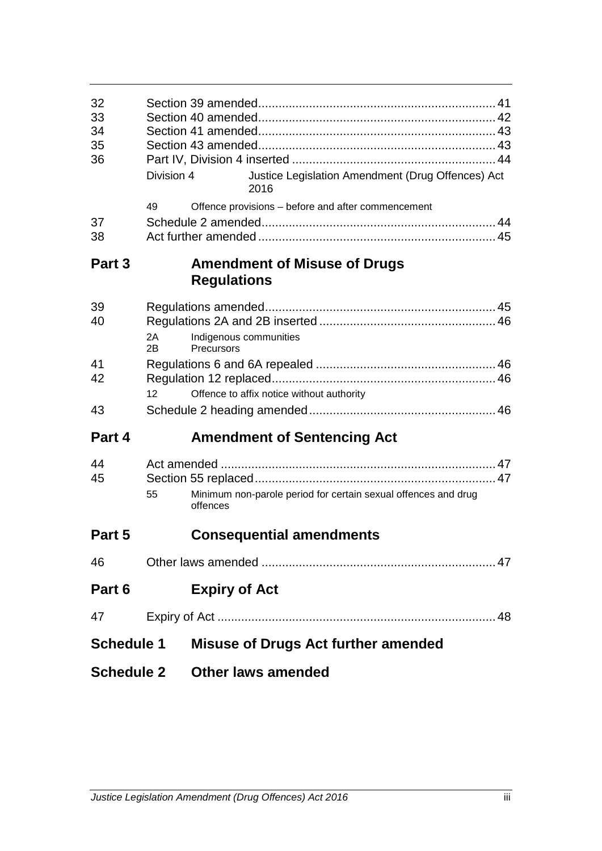| <b>Schedule 2</b> |                 |                                            | <b>Other laws amended</b>                                      |  |
|-------------------|-----------------|--------------------------------------------|----------------------------------------------------------------|--|
| <b>Schedule 1</b> |                 | <b>Misuse of Drugs Act further amended</b> |                                                                |  |
| 47                |                 |                                            |                                                                |  |
| Part 6            |                 | <b>Expiry of Act</b>                       |                                                                |  |
| 46                |                 |                                            |                                                                |  |
| Part 5            |                 |                                            | <b>Consequential amendments</b>                                |  |
| 44<br>45          | 55              | offences                                   | Minimum non-parole period for certain sexual offences and drug |  |
| Part 4            |                 |                                            | <b>Amendment of Sentencing Act</b>                             |  |
| 43                |                 |                                            |                                                                |  |
| 41<br>42          | 12 <sup>2</sup> |                                            | Offence to affix notice without authority                      |  |
| 40                | 2A<br>2B.       | Indigenous communities<br>Precursors       |                                                                |  |
| 39                |                 | <b>Regulations</b>                         |                                                                |  |
| Part 3            |                 |                                            | <b>Amendment of Misuse of Drugs</b>                            |  |
| 38                |                 |                                            |                                                                |  |
| 37                | 49              |                                            | Offence provisions - before and after commencement             |  |
| 34<br>35<br>36    | Division 4      |                                            | Justice Legislation Amendment (Drug Offences) Act<br>2016      |  |
| 32<br>33          |                 |                                            |                                                                |  |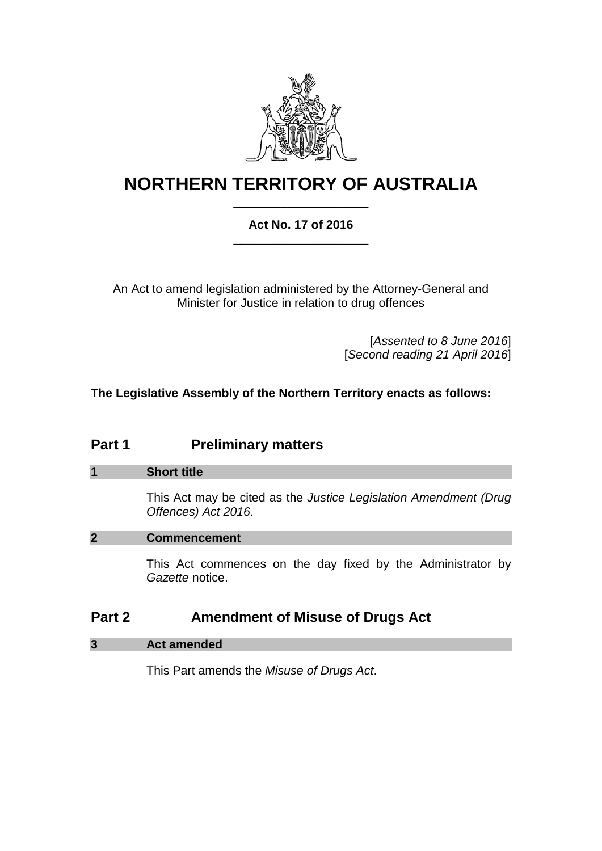

# **NORTHERN TERRITORY OF AUSTRALIA** \_\_\_\_\_\_\_\_\_\_\_\_\_\_\_\_\_\_\_\_

# **Act No. 17 of 2016** \_\_\_\_\_\_\_\_\_\_\_\_\_\_\_\_\_\_\_\_

An Act to amend legislation administered by the Attorney-General and Minister for Justice in relation to drug offences

> [*Assented to 8 June 2016*] [*Second reading 21 April 2016*]

**The Legislative Assembly of the Northern Territory enacts as follows:**

# **Part 1 Preliminary matters**

# **1 Short title**

This Act may be cited as the *Justice Legislation Amendment (Drug Offences) Act 2016*.

# **2 Commencement**

This Act commences on the day fixed by the Administrator by *Gazette* notice.

# **Part 2 Amendment of Misuse of Drugs Act**

# **3 Act amended**

This Part amends the *Misuse of Drugs Act*.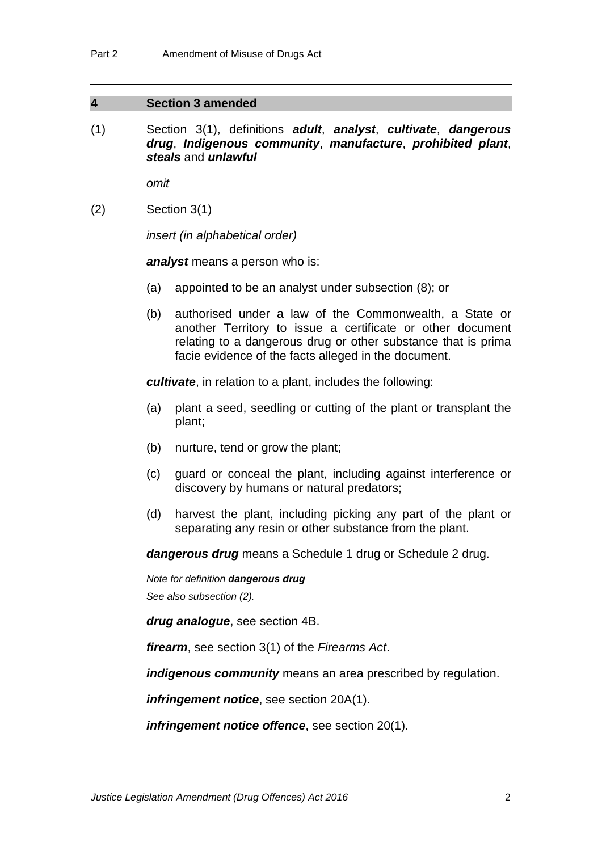#### **4 Section 3 amended**

(1) Section 3(1), definitions *adult*, *analyst*, *cultivate*, *dangerous drug*, *Indigenous community*, *manufacture*, *prohibited plant*, *steals* and *unlawful*

*omit*

(2) Section 3(1)

*insert (in alphabetical order)*

*analyst* means a person who is:

- (a) appointed to be an analyst under subsection (8); or
- (b) authorised under a law of the Commonwealth, a State or another Territory to issue a certificate or other document relating to a dangerous drug or other substance that is prima facie evidence of the facts alleged in the document.

*cultivate*, in relation to a plant, includes the following:

- (a) plant a seed, seedling or cutting of the plant or transplant the plant;
- (b) nurture, tend or grow the plant;
- (c) guard or conceal the plant, including against interference or discovery by humans or natural predators;
- (d) harvest the plant, including picking any part of the plant or separating any resin or other substance from the plant.

*dangerous drug* means a Schedule 1 drug or Schedule 2 drug.

*Note for definition dangerous drug*

*See also subsection (2).*

*drug analogue*, see section 4B.

*firearm*, see section 3(1) of the *Firearms Act*.

*indigenous community* means an area prescribed by regulation.

*infringement notice*, see section 20A(1).

*infringement notice offence*, see section 20(1).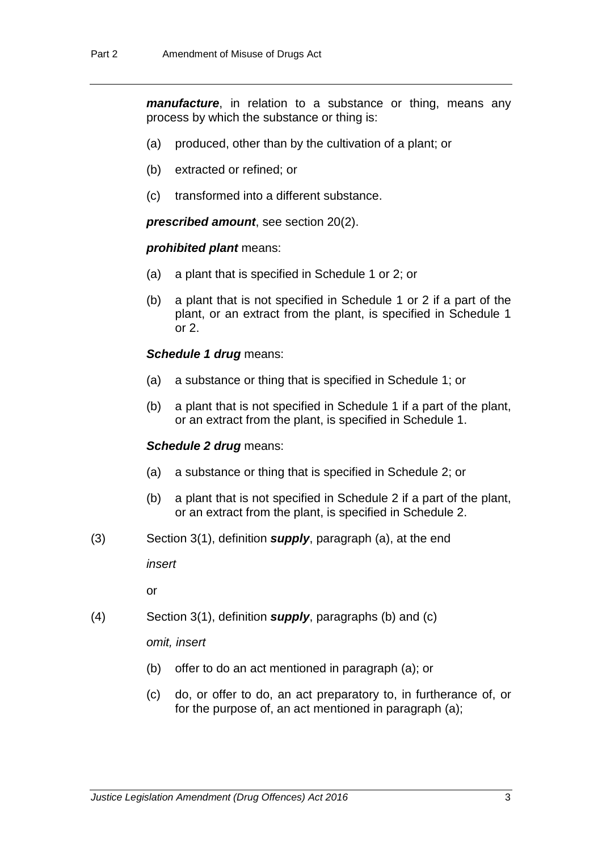*manufacture*, in relation to a substance or thing, means any process by which the substance or thing is:

- (a) produced, other than by the cultivation of a plant; or
- (b) extracted or refined; or
- (c) transformed into a different substance.

*prescribed amount*, see section 20(2).

#### *prohibited plant* means:

- (a) a plant that is specified in Schedule 1 or 2; or
- (b) a plant that is not specified in Schedule 1 or 2 if a part of the plant, or an extract from the plant, is specified in Schedule 1 or 2.

#### **Schedule 1 drug means:**

- (a) a substance or thing that is specified in Schedule 1; or
- (b) a plant that is not specified in Schedule 1 if a part of the plant, or an extract from the plant, is specified in Schedule 1.

#### *Schedule 2 drug* means:

- (a) a substance or thing that is specified in Schedule 2; or
- (b) a plant that is not specified in Schedule 2 if a part of the plant, or an extract from the plant, is specified in Schedule 2.
- (3) Section 3(1), definition *supply*, paragraph (a), at the end

*insert*

or

(4) Section 3(1), definition *supply*, paragraphs (b) and (c)

*omit, insert*

- (b) offer to do an act mentioned in paragraph (a); or
- (c) do, or offer to do, an act preparatory to, in furtherance of, or for the purpose of, an act mentioned in paragraph (a);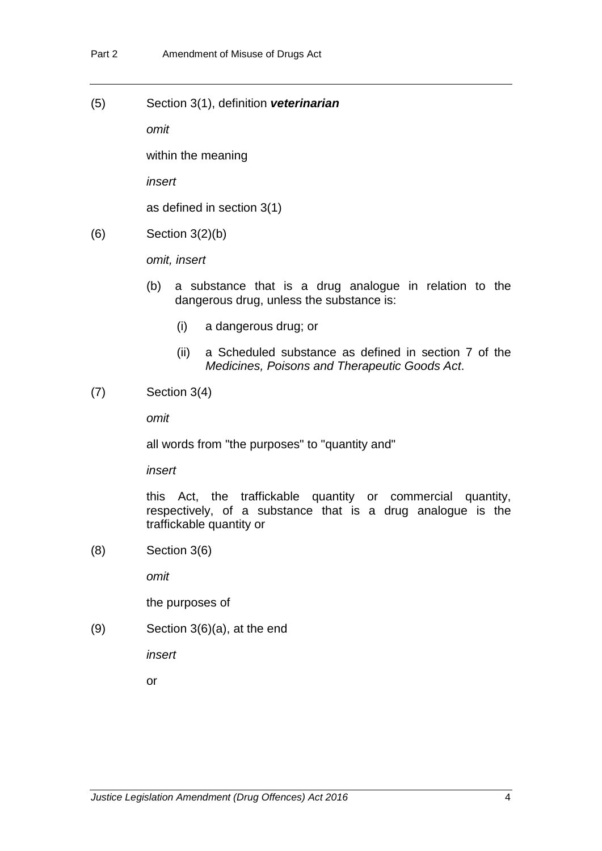(5) Section 3(1), definition *veterinarian*

*omit*

within the meaning

*insert*

as defined in section 3(1)

(6) Section 3(2)(b)

*omit, insert*

- (b) a substance that is a drug analogue in relation to the dangerous drug, unless the substance is:
	- (i) a dangerous drug; or
	- (ii) a Scheduled substance as defined in section 7 of the *Medicines, Poisons and Therapeutic Goods Act*.
- (7) Section 3(4)

*omit*

all words from "the purposes" to "quantity and"

*insert*

this Act, the traffickable quantity or commercial quantity, respectively, of a substance that is a drug analogue is the traffickable quantity or

(8) Section 3(6)

*omit*

the purposes of

(9) Section 3(6)(a), at the end

*insert*

or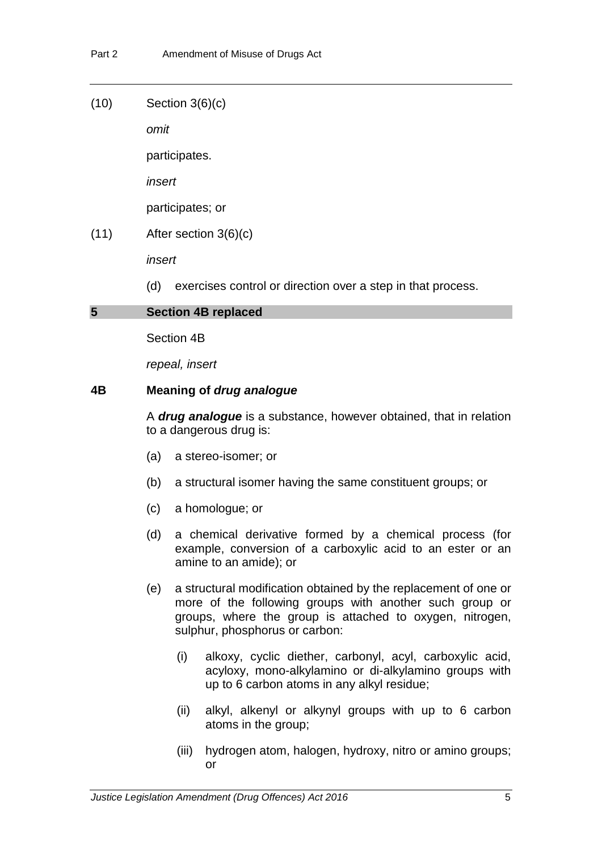(10) Section 3(6)(c)

*omit*

participates.

*insert*

participates; or

(11) After section 3(6)(c)

*insert*

(d) exercises control or direction over a step in that process.

#### **5 Section 4B replaced**

Section 4B

*repeal, insert*

#### **4B Meaning of** *drug analogue*

A *drug analogue* is a substance, however obtained, that in relation to a dangerous drug is:

- (a) a stereo-isomer; or
- (b) a structural isomer having the same constituent groups; or
- (c) a homologue; or
- (d) a chemical derivative formed by a chemical process (for example, conversion of a carboxylic acid to an ester or an amine to an amide); or
- (e) a structural modification obtained by the replacement of one or more of the following groups with another such group or groups, where the group is attached to oxygen, nitrogen, sulphur, phosphorus or carbon:
	- (i) alkoxy, cyclic diether, carbonyl, acyl, carboxylic acid, acyloxy, mono-alkylamino or di-alkylamino groups with up to 6 carbon atoms in any alkyl residue;
	- (ii) alkyl, alkenyl or alkynyl groups with up to 6 carbon atoms in the group;
	- (iii) hydrogen atom, halogen, hydroxy, nitro or amino groups; or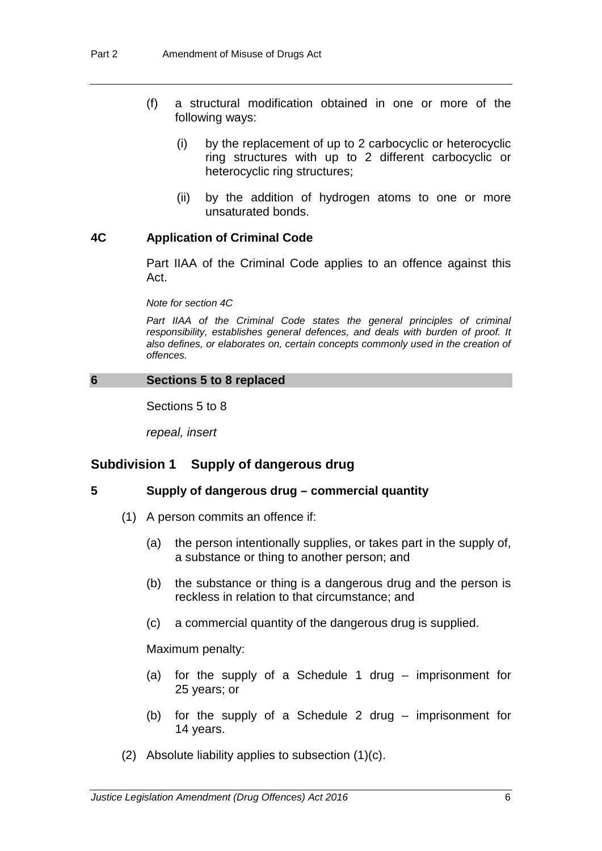- (f) a structural modification obtained in one or more of the following ways:
	- (i) by the replacement of up to 2 carbocyclic or heterocyclic ring structures with up to 2 different carbocyclic or heterocyclic ring structures;
	- (ii) by the addition of hydrogen atoms to one or more unsaturated bonds.

#### **4C Application of Criminal Code**

Part IIAA of the Criminal Code applies to an offence against this Act.

*Note for section 4C*

*Part IIAA of the Criminal Code states the general principles of criminal responsibility, establishes general defences, and deals with burden of proof. It also defines, or elaborates on, certain concepts commonly used in the creation of offences.*

#### **6 Sections 5 to 8 replaced**

Sections 5 to 8

*repeal, insert*

# **Subdivision 1 Supply of dangerous drug**

# **5 Supply of dangerous drug – commercial quantity**

- (1) A person commits an offence if:
	- (a) the person intentionally supplies, or takes part in the supply of, a substance or thing to another person; and
	- (b) the substance or thing is a dangerous drug and the person is reckless in relation to that circumstance; and
	- (c) a commercial quantity of the dangerous drug is supplied.

Maximum penalty:

- (a) for the supply of a Schedule 1 drug imprisonment for 25 years; or
- (b) for the supply of a Schedule 2 drug imprisonment for 14 years.
- (2) Absolute liability applies to subsection (1)(c).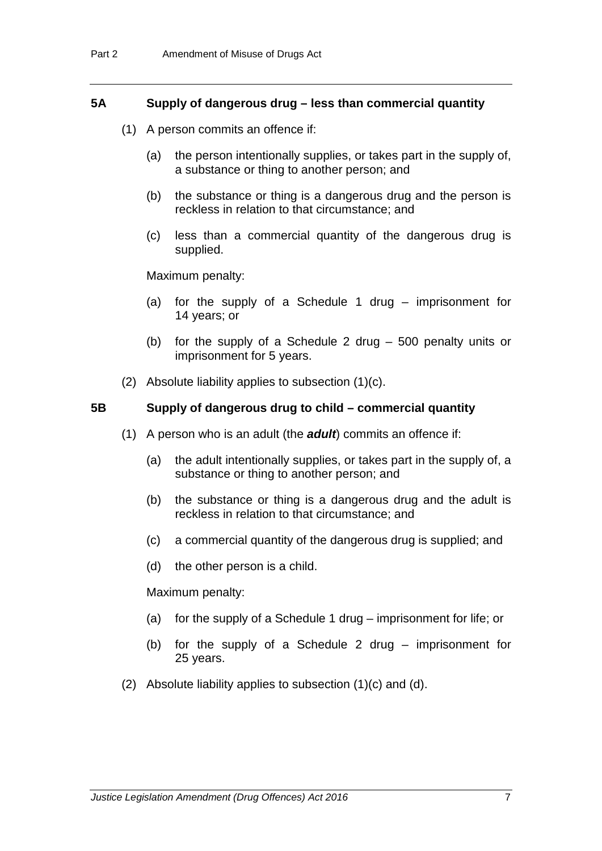#### **5A Supply of dangerous drug – less than commercial quantity**

- (1) A person commits an offence if:
	- (a) the person intentionally supplies, or takes part in the supply of, a substance or thing to another person; and
	- (b) the substance or thing is a dangerous drug and the person is reckless in relation to that circumstance; and
	- (c) less than a commercial quantity of the dangerous drug is supplied.

Maximum penalty:

- (a) for the supply of a Schedule 1 drug imprisonment for 14 years; or
- (b) for the supply of a Schedule 2 drug 500 penalty units or imprisonment for 5 years.
- (2) Absolute liability applies to subsection (1)(c).

#### **5B Supply of dangerous drug to child – commercial quantity**

- (1) A person who is an adult (the *adult*) commits an offence if:
	- (a) the adult intentionally supplies, or takes part in the supply of, a substance or thing to another person; and
	- (b) the substance or thing is a dangerous drug and the adult is reckless in relation to that circumstance; and
	- (c) a commercial quantity of the dangerous drug is supplied; and
	- (d) the other person is a child.

Maximum penalty:

- (a) for the supply of a Schedule 1 drug imprisonment for life; or
- (b) for the supply of a Schedule 2 drug imprisonment for 25 years.
- (2) Absolute liability applies to subsection (1)(c) and (d).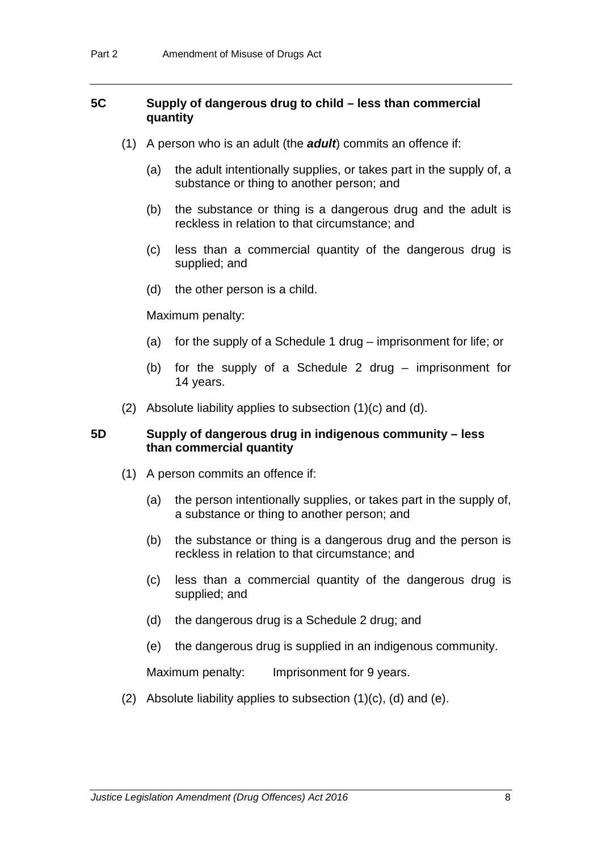# **5C Supply of dangerous drug to child – less than commercial quantity**

- (1) A person who is an adult (the *adult*) commits an offence if:
	- (a) the adult intentionally supplies, or takes part in the supply of, a substance or thing to another person; and
	- (b) the substance or thing is a dangerous drug and the adult is reckless in relation to that circumstance; and
	- (c) less than a commercial quantity of the dangerous drug is supplied; and
	- (d) the other person is a child.

#### Maximum penalty:

- (a) for the supply of a Schedule 1 drug imprisonment for life; or
- (b) for the supply of a Schedule 2 drug imprisonment for 14 years.
- (2) Absolute liability applies to subsection (1)(c) and (d).

#### **5D Supply of dangerous drug in indigenous community – less than commercial quantity**

- (1) A person commits an offence if:
	- (a) the person intentionally supplies, or takes part in the supply of, a substance or thing to another person; and
	- (b) the substance or thing is a dangerous drug and the person is reckless in relation to that circumstance; and
	- (c) less than a commercial quantity of the dangerous drug is supplied; and
	- (d) the dangerous drug is a Schedule 2 drug; and
	- (e) the dangerous drug is supplied in an indigenous community.

Maximum penalty: Imprisonment for 9 years.

(2) Absolute liability applies to subsection  $(1)(c)$ ,  $(d)$  and  $(e)$ .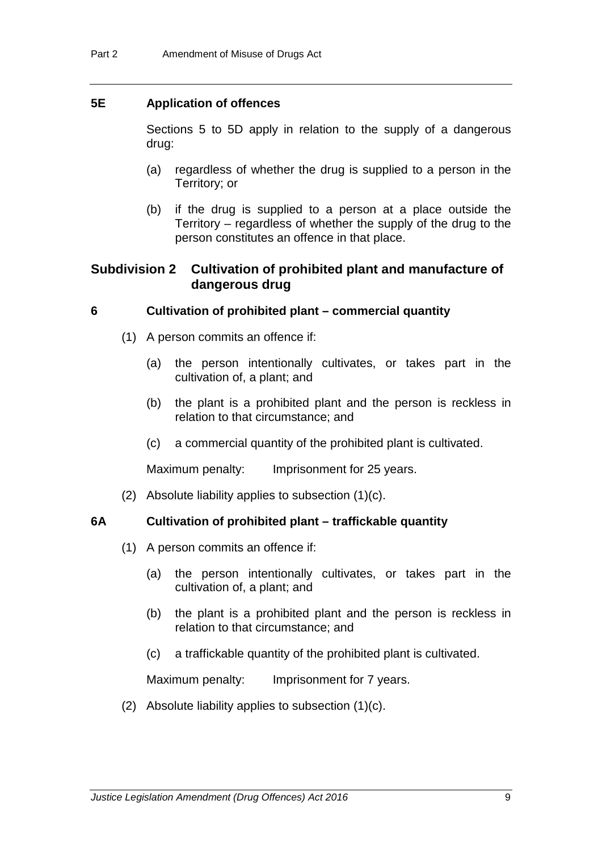### **5E Application of offences**

Sections 5 to 5D apply in relation to the supply of a dangerous drug:

- (a) regardless of whether the drug is supplied to a person in the Territory; or
- (b) if the drug is supplied to a person at a place outside the Territory – regardless of whether the supply of the drug to the person constitutes an offence in that place.

# **Subdivision 2 Cultivation of prohibited plant and manufacture of dangerous drug**

#### **6 Cultivation of prohibited plant – commercial quantity**

- (1) A person commits an offence if:
	- (a) the person intentionally cultivates, or takes part in the cultivation of, a plant; and
	- (b) the plant is a prohibited plant and the person is reckless in relation to that circumstance; and
	- (c) a commercial quantity of the prohibited plant is cultivated.

Maximum penalty: Imprisonment for 25 years.

(2) Absolute liability applies to subsection (1)(c).

#### **6A Cultivation of prohibited plant – traffickable quantity**

- (1) A person commits an offence if:
	- (a) the person intentionally cultivates, or takes part in the cultivation of, a plant; and
	- (b) the plant is a prohibited plant and the person is reckless in relation to that circumstance; and
	- (c) a traffickable quantity of the prohibited plant is cultivated.

Maximum penalty: Imprisonment for 7 years.

(2) Absolute liability applies to subsection  $(1)(c)$ .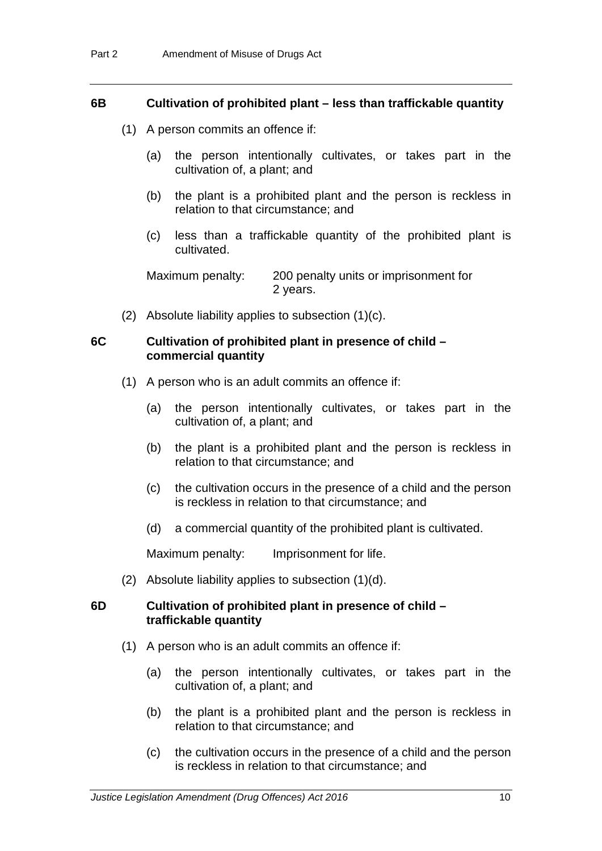#### **6B Cultivation of prohibited plant – less than traffickable quantity**

- (1) A person commits an offence if:
	- (a) the person intentionally cultivates, or takes part in the cultivation of, a plant; and
	- (b) the plant is a prohibited plant and the person is reckless in relation to that circumstance; and
	- (c) less than a traffickable quantity of the prohibited plant is cultivated.

Maximum penalty: 200 penalty units or imprisonment for 2 years.

(2) Absolute liability applies to subsection (1)(c).

#### **6C Cultivation of prohibited plant in presence of child – commercial quantity**

- (1) A person who is an adult commits an offence if:
	- (a) the person intentionally cultivates, or takes part in the cultivation of, a plant; and
	- (b) the plant is a prohibited plant and the person is reckless in relation to that circumstance; and
	- (c) the cultivation occurs in the presence of a child and the person is reckless in relation to that circumstance; and
	- (d) a commercial quantity of the prohibited plant is cultivated.

Maximum penalty: Imprisonment for life.

(2) Absolute liability applies to subsection (1)(d).

#### **6D Cultivation of prohibited plant in presence of child – traffickable quantity**

- (1) A person who is an adult commits an offence if:
	- (a) the person intentionally cultivates, or takes part in the cultivation of, a plant; and
	- (b) the plant is a prohibited plant and the person is reckless in relation to that circumstance; and
	- (c) the cultivation occurs in the presence of a child and the person is reckless in relation to that circumstance; and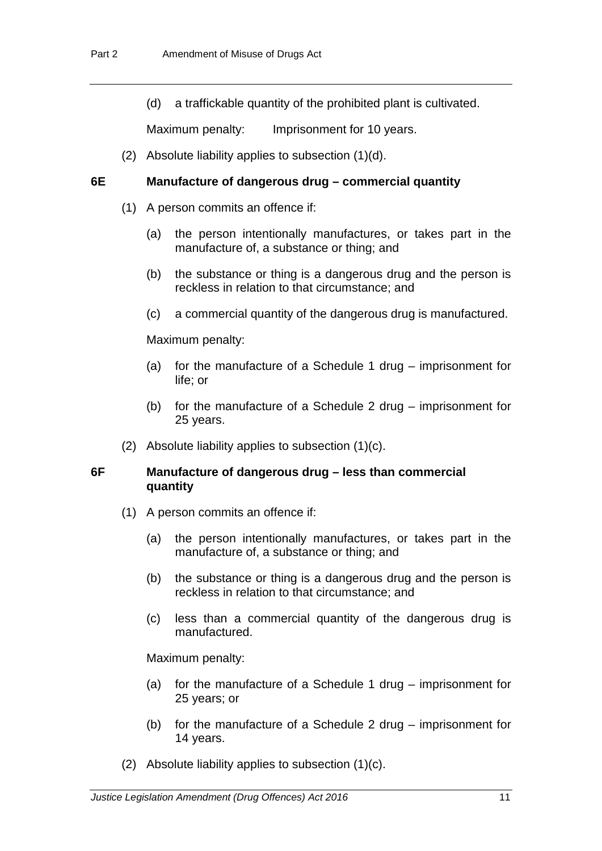(d) a traffickable quantity of the prohibited plant is cultivated.

Maximum penalty: Imprisonment for 10 years.

(2) Absolute liability applies to subsection (1)(d).

#### **6E Manufacture of dangerous drug – commercial quantity**

- (1) A person commits an offence if:
	- (a) the person intentionally manufactures, or takes part in the manufacture of, a substance or thing; and
	- (b) the substance or thing is a dangerous drug and the person is reckless in relation to that circumstance; and
	- (c) a commercial quantity of the dangerous drug is manufactured.

Maximum penalty:

- (a) for the manufacture of a Schedule 1 drug imprisonment for life; or
- (b) for the manufacture of a Schedule 2 drug imprisonment for 25 years.
- (2) Absolute liability applies to subsection (1)(c).

# **6F Manufacture of dangerous drug – less than commercial quantity**

- (1) A person commits an offence if:
	- (a) the person intentionally manufactures, or takes part in the manufacture of, a substance or thing; and
	- (b) the substance or thing is a dangerous drug and the person is reckless in relation to that circumstance; and
	- (c) less than a commercial quantity of the dangerous drug is manufactured.

Maximum penalty:

- (a) for the manufacture of a Schedule 1 drug imprisonment for 25 years; or
- (b) for the manufacture of a Schedule 2 drug imprisonment for 14 years.
- (2) Absolute liability applies to subsection (1)(c).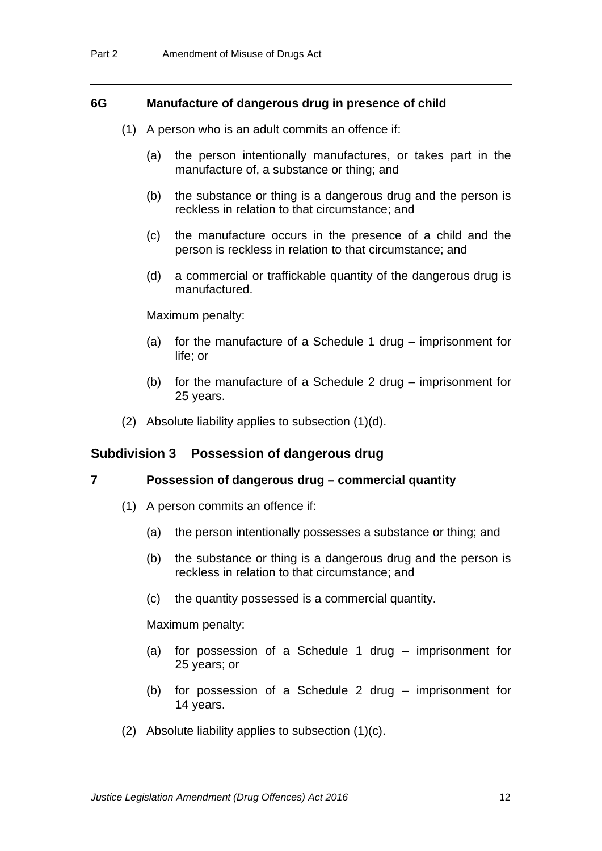#### **6G Manufacture of dangerous drug in presence of child**

- (1) A person who is an adult commits an offence if:
	- (a) the person intentionally manufactures, or takes part in the manufacture of, a substance or thing; and
	- (b) the substance or thing is a dangerous drug and the person is reckless in relation to that circumstance; and
	- (c) the manufacture occurs in the presence of a child and the person is reckless in relation to that circumstance; and
	- (d) a commercial or traffickable quantity of the dangerous drug is manufactured.

#### Maximum penalty:

- (a) for the manufacture of a Schedule 1 drug imprisonment for life; or
- (b) for the manufacture of a Schedule 2 drug imprisonment for 25 years.
- (2) Absolute liability applies to subsection (1)(d).

# **Subdivision 3 Possession of dangerous drug**

#### **7 Possession of dangerous drug – commercial quantity**

- (1) A person commits an offence if:
	- (a) the person intentionally possesses a substance or thing; and
	- (b) the substance or thing is a dangerous drug and the person is reckless in relation to that circumstance; and
	- (c) the quantity possessed is a commercial quantity.

Maximum penalty:

- (a) for possession of a Schedule 1 drug imprisonment for 25 years; or
- (b) for possession of a Schedule 2 drug imprisonment for 14 years.
- (2) Absolute liability applies to subsection (1)(c).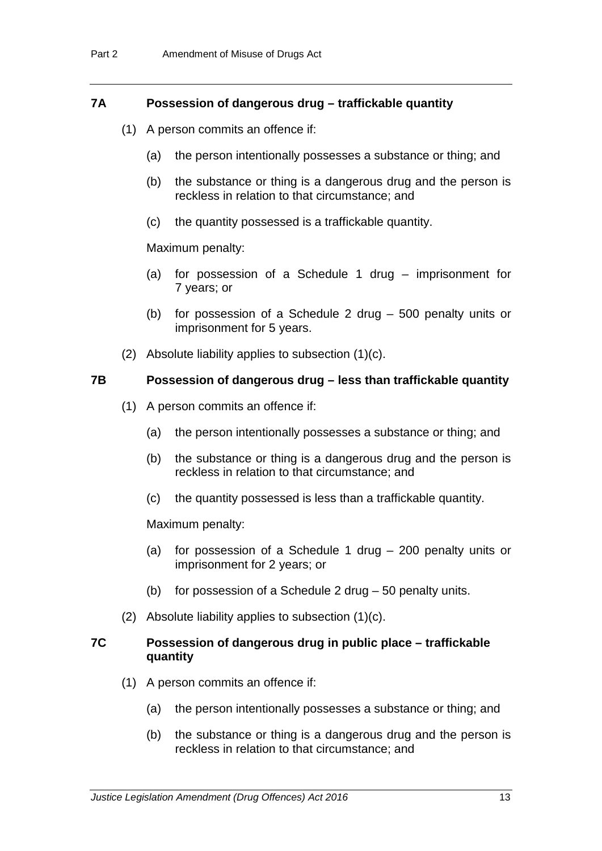#### **7A Possession of dangerous drug – traffickable quantity**

- (1) A person commits an offence if:
	- (a) the person intentionally possesses a substance or thing; and
	- (b) the substance or thing is a dangerous drug and the person is reckless in relation to that circumstance; and
	- (c) the quantity possessed is a traffickable quantity.

#### Maximum penalty:

- (a) for possession of a Schedule 1 drug imprisonment for 7 years; or
- (b) for possession of a Schedule 2 drug 500 penalty units or imprisonment for 5 years.
- (2) Absolute liability applies to subsection (1)(c).

#### **7B Possession of dangerous drug – less than traffickable quantity**

- (1) A person commits an offence if:
	- (a) the person intentionally possesses a substance or thing; and
	- (b) the substance or thing is a dangerous drug and the person is reckless in relation to that circumstance; and
	- (c) the quantity possessed is less than a traffickable quantity.

Maximum penalty:

- (a) for possession of a Schedule 1 drug 200 penalty units or imprisonment for 2 years; or
- (b) for possession of a Schedule 2 drug 50 penalty units.
- (2) Absolute liability applies to subsection (1)(c).

#### **7C Possession of dangerous drug in public place – traffickable quantity**

- (1) A person commits an offence if:
	- (a) the person intentionally possesses a substance or thing; and
	- (b) the substance or thing is a dangerous drug and the person is reckless in relation to that circumstance; and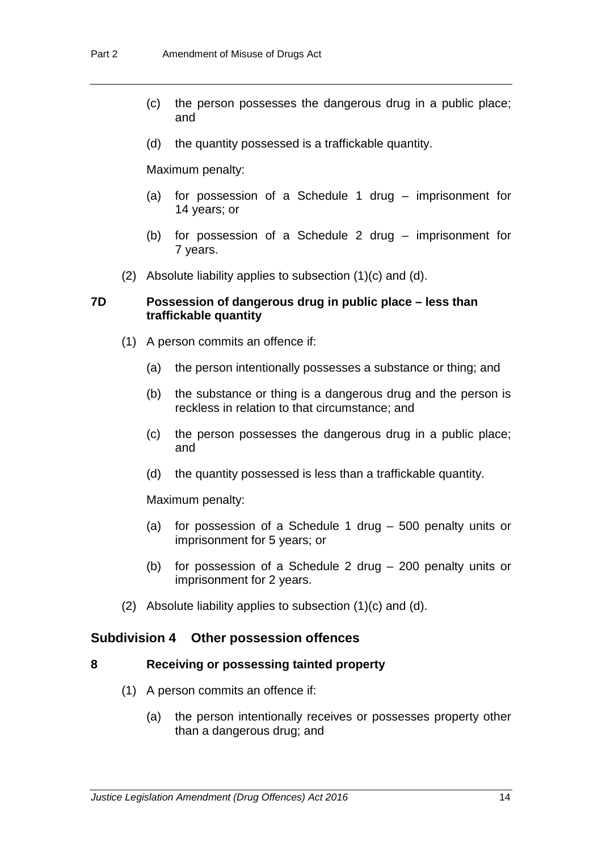- (c) the person possesses the dangerous drug in a public place; and
- (d) the quantity possessed is a traffickable quantity.

Maximum penalty:

- (a) for possession of a Schedule 1 drug imprisonment for 14 years; or
- (b) for possession of a Schedule 2 drug imprisonment for 7 years.
- (2) Absolute liability applies to subsection (1)(c) and (d).

#### **7D Possession of dangerous drug in public place – less than traffickable quantity**

- (1) A person commits an offence if:
	- (a) the person intentionally possesses a substance or thing; and
	- (b) the substance or thing is a dangerous drug and the person is reckless in relation to that circumstance; and
	- (c) the person possesses the dangerous drug in a public place; and
	- (d) the quantity possessed is less than a traffickable quantity.

Maximum penalty:

- (a) for possession of a Schedule 1 drug 500 penalty units or imprisonment for 5 years; or
- (b) for possession of a Schedule 2 drug 200 penalty units or imprisonment for 2 years.
- (2) Absolute liability applies to subsection (1)(c) and (d).

# **Subdivision 4 Other possession offences**

# **8 Receiving or possessing tainted property**

- (1) A person commits an offence if:
	- (a) the person intentionally receives or possesses property other than a dangerous drug; and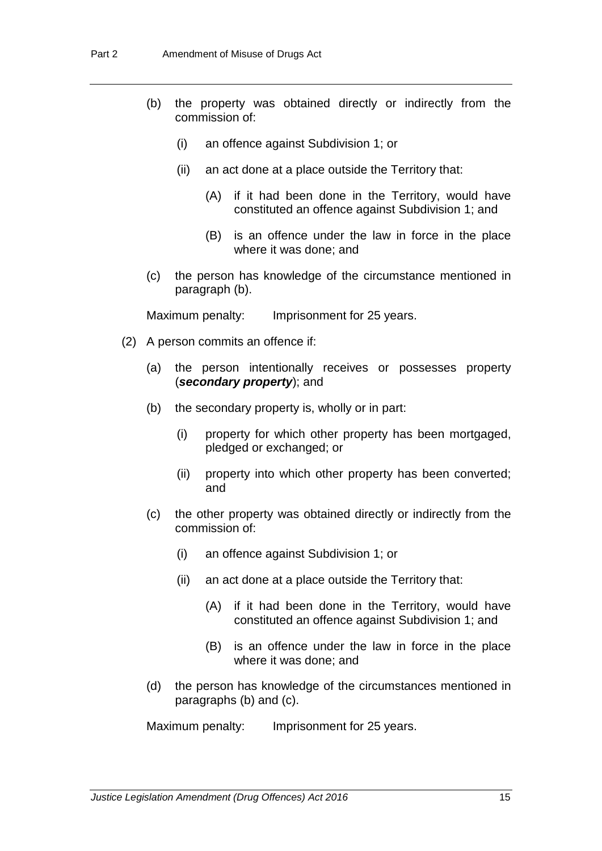- (b) the property was obtained directly or indirectly from the commission of:
	- (i) an offence against Subdivision 1; or
	- (ii) an act done at a place outside the Territory that:
		- (A) if it had been done in the Territory, would have constituted an offence against Subdivision 1; and
		- (B) is an offence under the law in force in the place where it was done; and
- (c) the person has knowledge of the circumstance mentioned in paragraph (b).

Maximum penalty: Imprisonment for 25 years.

- (2) A person commits an offence if:
	- (a) the person intentionally receives or possesses property (*secondary property*); and
	- (b) the secondary property is, wholly or in part:
		- (i) property for which other property has been mortgaged, pledged or exchanged; or
		- (ii) property into which other property has been converted; and
	- (c) the other property was obtained directly or indirectly from the commission of:
		- (i) an offence against Subdivision 1; or
		- (ii) an act done at a place outside the Territory that:
			- (A) if it had been done in the Territory, would have constituted an offence against Subdivision 1; and
			- (B) is an offence under the law in force in the place where it was done; and
	- (d) the person has knowledge of the circumstances mentioned in paragraphs (b) and (c).

Maximum penalty: Imprisonment for 25 years.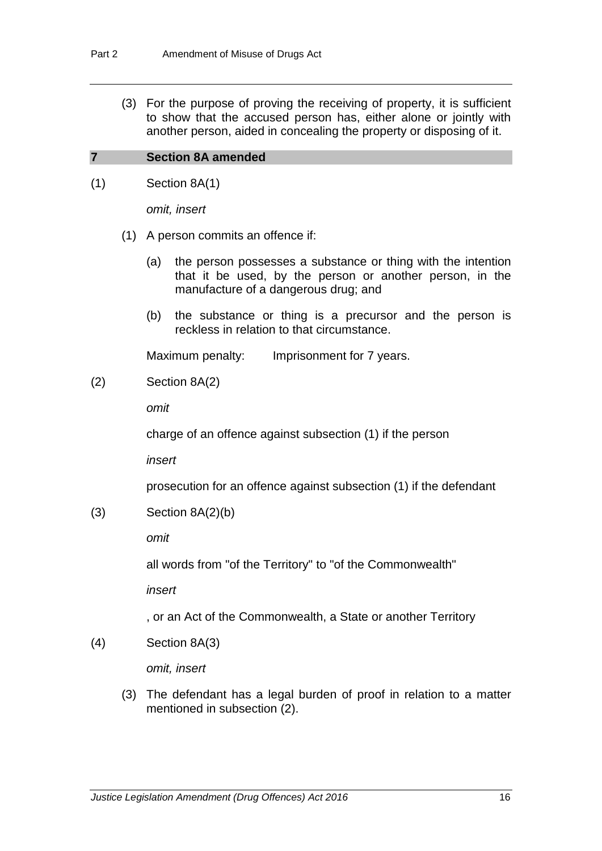(3) For the purpose of proving the receiving of property, it is sufficient to show that the accused person has, either alone or jointly with another person, aided in concealing the property or disposing of it.

#### **7 Section 8A amended**

(1) Section 8A(1)

*omit, insert*

- (1) A person commits an offence if:
	- (a) the person possesses a substance or thing with the intention that it be used, by the person or another person, in the manufacture of a dangerous drug; and
	- (b) the substance or thing is a precursor and the person is reckless in relation to that circumstance.

Maximum penalty: Imprisonment for 7 years.

(2) Section 8A(2)

*omit*

charge of an offence against subsection (1) if the person

*insert*

prosecution for an offence against subsection (1) if the defendant

 $(3)$  Section  $8A(2)(b)$ 

*omit*

all words from "of the Territory" to "of the Commonwealth"

*insert*

, or an Act of the Commonwealth, a State or another Territory

(4) Section 8A(3)

*omit, insert*

(3) The defendant has a legal burden of proof in relation to a matter mentioned in subsection (2).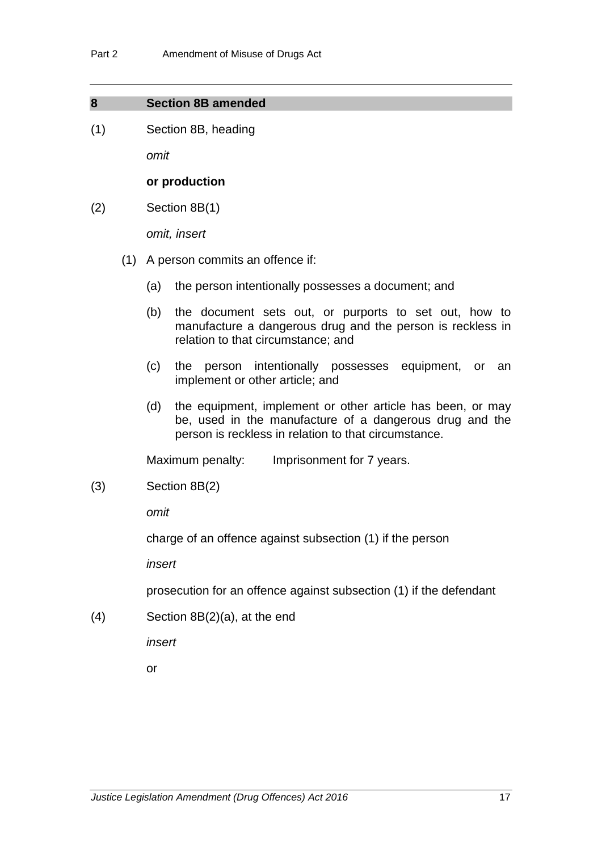#### **8 Section 8B amended**

(1) Section 8B, heading

*omit*

#### **or production**

(2) Section 8B(1)

*omit, insert*

- (1) A person commits an offence if:
	- (a) the person intentionally possesses a document; and
	- (b) the document sets out, or purports to set out, how to manufacture a dangerous drug and the person is reckless in relation to that circumstance; and
	- (c) the person intentionally possesses equipment, or an implement or other article; and
	- (d) the equipment, implement or other article has been, or may be, used in the manufacture of a dangerous drug and the person is reckless in relation to that circumstance.

Maximum penalty: Imprisonment for 7 years.

(3) Section 8B(2)

*omit*

charge of an offence against subsection (1) if the person

*insert*

prosecution for an offence against subsection (1) if the defendant

(4) Section 8B(2)(a), at the end

*insert*

or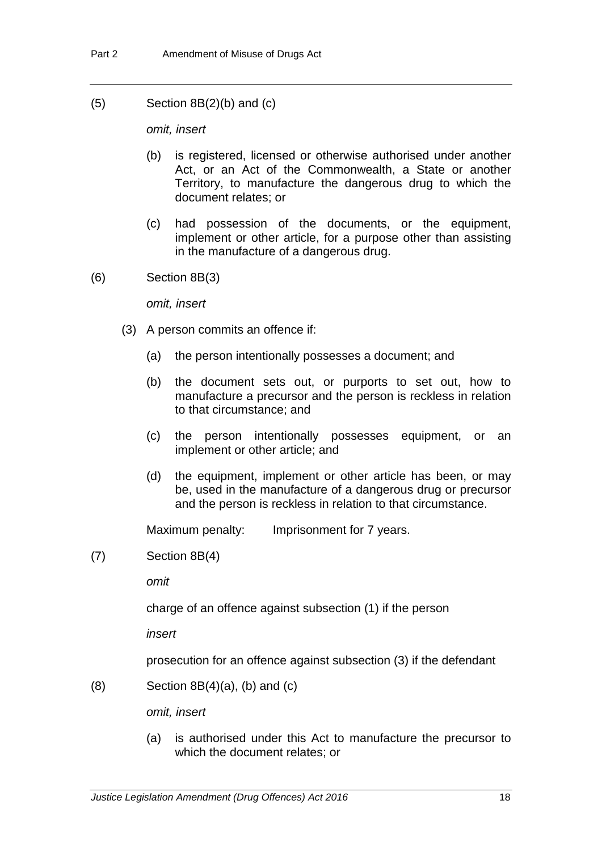$(5)$  Section 8B $(2)(b)$  and  $(c)$ 

*omit, insert*

- (b) is registered, licensed or otherwise authorised under another Act, or an Act of the Commonwealth, a State or another Territory, to manufacture the dangerous drug to which the document relates; or
- (c) had possession of the documents, or the equipment, implement or other article, for a purpose other than assisting in the manufacture of a dangerous drug.
- (6) Section 8B(3)

*omit, insert*

- (3) A person commits an offence if:
	- (a) the person intentionally possesses a document; and
	- (b) the document sets out, or purports to set out, how to manufacture a precursor and the person is reckless in relation to that circumstance; and
	- (c) the person intentionally possesses equipment, or an implement or other article; and
	- (d) the equipment, implement or other article has been, or may be, used in the manufacture of a dangerous drug or precursor and the person is reckless in relation to that circumstance.

Maximum penalty: Imprisonment for 7 years.

(7) Section 8B(4)

*omit*

charge of an offence against subsection (1) if the person

*insert*

prosecution for an offence against subsection (3) if the defendant

 $(8)$  Section  $8B(4)(a)$ ,  $(b)$  and  $(c)$ 

*omit, insert*

(a) is authorised under this Act to manufacture the precursor to which the document relates; or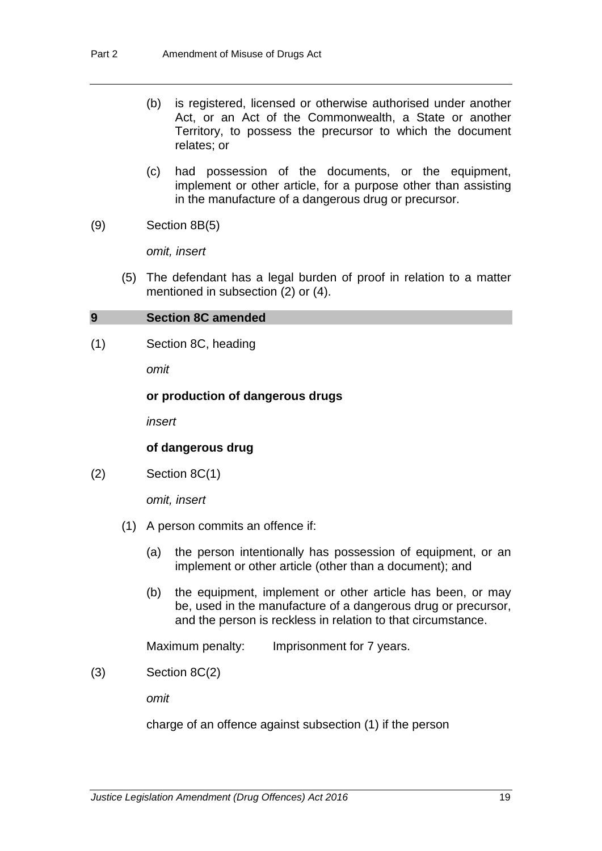- (b) is registered, licensed or otherwise authorised under another Act, or an Act of the Commonwealth, a State or another Territory, to possess the precursor to which the document relates; or
- (c) had possession of the documents, or the equipment, implement or other article, for a purpose other than assisting in the manufacture of a dangerous drug or precursor.
- (9) Section 8B(5)

*omit, insert*

(5) The defendant has a legal burden of proof in relation to a matter mentioned in subsection (2) or (4).

#### **9 Section 8C amended**

(1) Section 8C, heading

*omit*

#### **or production of dangerous drugs**

*insert*

#### **of dangerous drug**

(2) Section 8C(1)

*omit, insert*

- (1) A person commits an offence if:
	- (a) the person intentionally has possession of equipment, or an implement or other article (other than a document); and
	- (b) the equipment, implement or other article has been, or may be, used in the manufacture of a dangerous drug or precursor, and the person is reckless in relation to that circumstance.

Maximum penalty: Imprisonment for 7 years.

(3) Section 8C(2)

*omit*

charge of an offence against subsection (1) if the person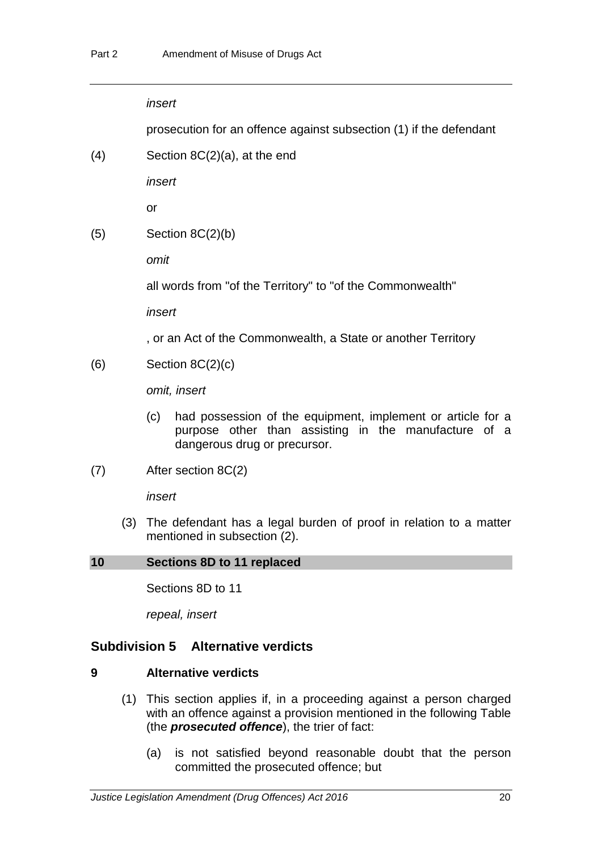*insert*

prosecution for an offence against subsection (1) if the defendant

(4) Section 8C(2)(a), at the end

*insert*

or

 $(5)$  Section 8C $(2)(b)$ 

*omit*

all words from "of the Territory" to "of the Commonwealth"

*insert*

, or an Act of the Commonwealth, a State or another Territory

 $(6)$  Section  $8C(2)(c)$ 

*omit, insert*

- (c) had possession of the equipment, implement or article for a purpose other than assisting in the manufacture of a dangerous drug or precursor.
- (7) After section 8C(2)

*insert*

(3) The defendant has a legal burden of proof in relation to a matter mentioned in subsection (2).

# **10 Sections 8D to 11 replaced**

Sections 8D to 11

*repeal, insert*

# **Subdivision 5 Alternative verdicts**

# **9 Alternative verdicts**

- (1) This section applies if, in a proceeding against a person charged with an offence against a provision mentioned in the following Table (the *prosecuted offence*), the trier of fact:
	- (a) is not satisfied beyond reasonable doubt that the person committed the prosecuted offence; but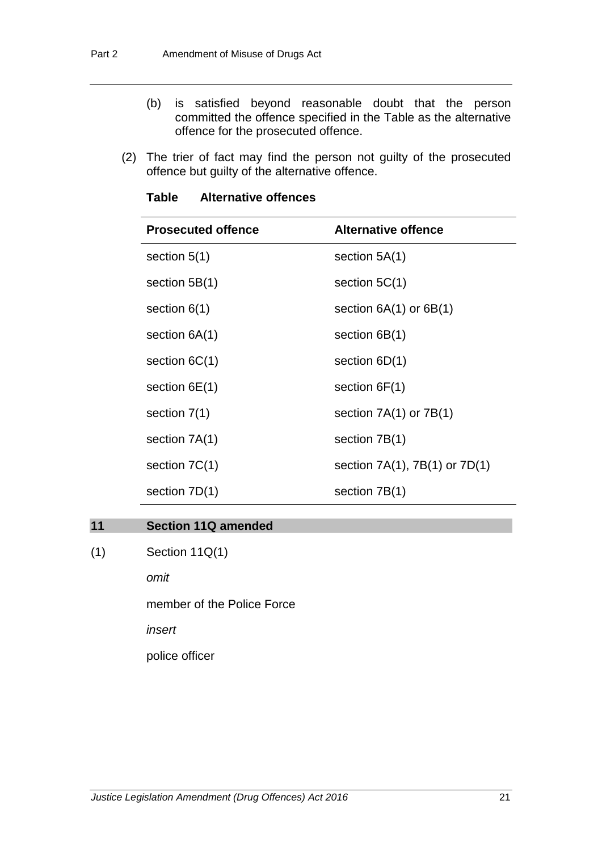- (b) is satisfied beyond reasonable doubt that the person committed the offence specified in the Table as the alternative offence for the prosecuted offence.
- (2) The trier of fact may find the person not guilty of the prosecuted offence but guilty of the alternative offence.

| <b>Prosecuted offence</b> | <b>Alternative offence</b>           |
|---------------------------|--------------------------------------|
| section $5(1)$            | section $5A(1)$                      |
| section $5B(1)$           | section $5C(1)$                      |
| section $6(1)$            | section $6A(1)$ or $6B(1)$           |
| section $6A(1)$           | section $6B(1)$                      |
| section $6C(1)$           | section $6D(1)$                      |
| section $6E(1)$           | section $6F(1)$                      |
| section $7(1)$            | section $7A(1)$ or $7B(1)$           |
| section 7A(1)             | section 7B(1)                        |
| section $7C(1)$           | section $7A(1)$ , $7B(1)$ or $7D(1)$ |
| section $7D(1)$           | section 7B(1)                        |

# **Table Alternative offences**

# **11 Section 11Q amended**

(1) Section 11Q(1)

*omit*

member of the Police Force

*insert*

police officer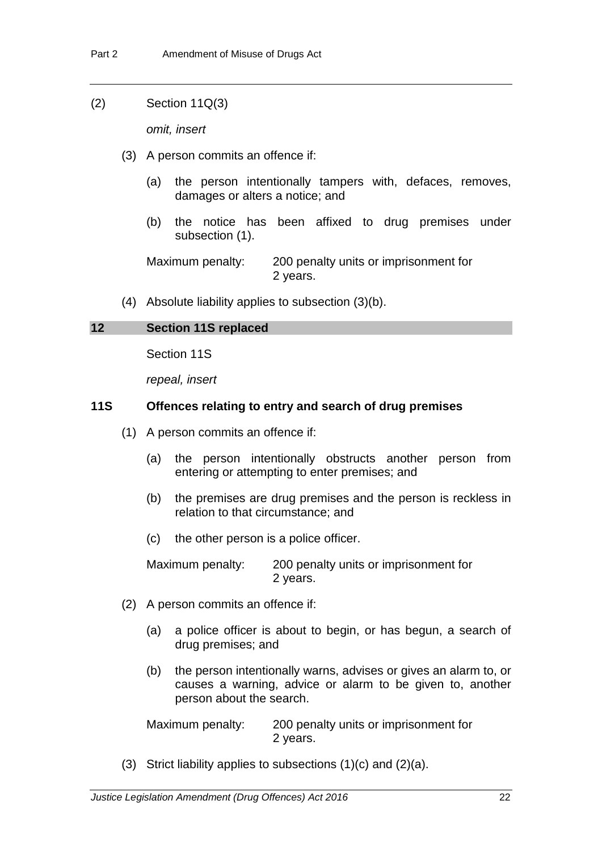(2) Section 11Q(3)

*omit, insert*

- (3) A person commits an offence if:
	- (a) the person intentionally tampers with, defaces, removes, damages or alters a notice; and
	- (b) the notice has been affixed to drug premises under subsection (1).

Maximum penalty: 200 penalty units or imprisonment for 2 years.

(4) Absolute liability applies to subsection (3)(b).

# **12 Section 11S replaced**

Section 11S

*repeal, insert*

# **11S Offences relating to entry and search of drug premises**

- (1) A person commits an offence if:
	- (a) the person intentionally obstructs another person from entering or attempting to enter premises; and
	- (b) the premises are drug premises and the person is reckless in relation to that circumstance; and
	- (c) the other person is a police officer.

Maximum penalty: 200 penalty units or imprisonment for 2 years.

- (2) A person commits an offence if:
	- (a) a police officer is about to begin, or has begun, a search of drug premises; and
	- (b) the person intentionally warns, advises or gives an alarm to, or causes a warning, advice or alarm to be given to, another person about the search.

Maximum penalty: 200 penalty units or imprisonment for 2 years.

(3) Strict liability applies to subsections  $(1)(c)$  and  $(2)(a)$ .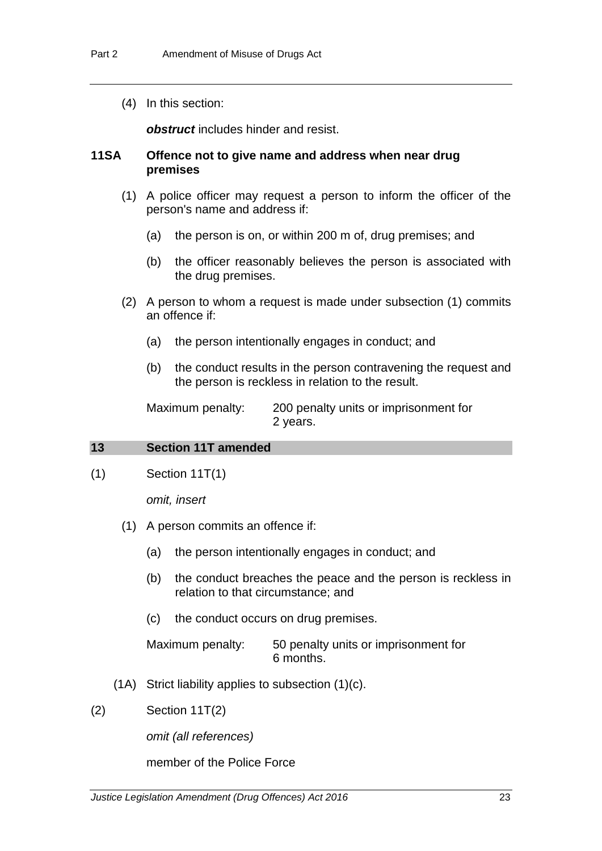(4) In this section:

*obstruct* includes hinder and resist.

# **11SA Offence not to give name and address when near drug premises**

- (1) A police officer may request a person to inform the officer of the person's name and address if:
	- (a) the person is on, or within 200 m of, drug premises; and
	- (b) the officer reasonably believes the person is associated with the drug premises.
- (2) A person to whom a request is made under subsection (1) commits an offence if:
	- (a) the person intentionally engages in conduct; and
	- (b) the conduct results in the person contravening the request and the person is reckless in relation to the result.

Maximum penalty: 200 penalty units or imprisonment for 2 years.

#### **13 Section 11T amended**

(1) Section 11T(1)

*omit, insert*

- (1) A person commits an offence if:
	- (a) the person intentionally engages in conduct; and
	- (b) the conduct breaches the peace and the person is reckless in relation to that circumstance; and
	- (c) the conduct occurs on drug premises.

Maximum penalty: 50 penalty units or imprisonment for 6 months.

- (1A) Strict liability applies to subsection (1)(c).
- $(2)$  Section 11T $(2)$

*omit (all references)*

member of the Police Force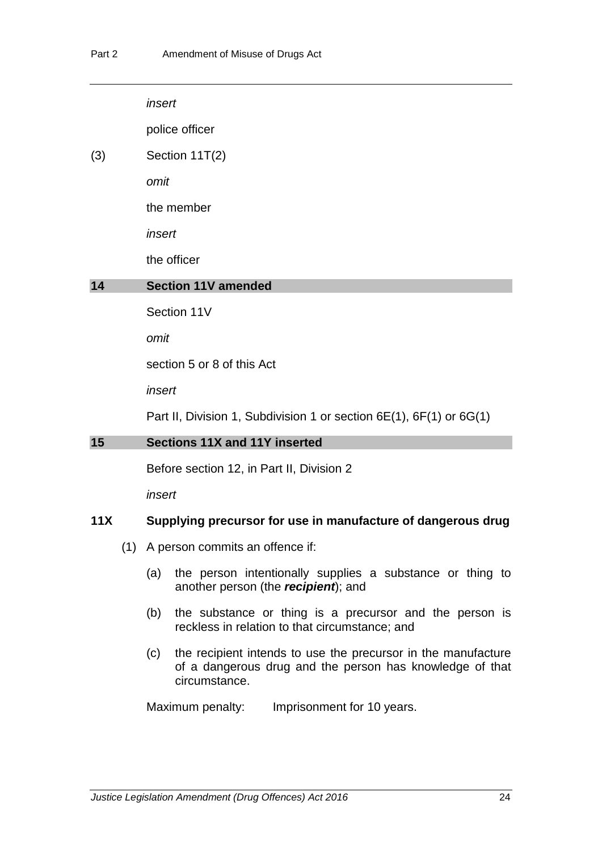*insert*

police officer

(3) Section 11T(2)

*omit*

the member

*insert*

the officer

# **14 Section 11V amended**

Section 11V

*omit*

section 5 or 8 of this Act

*insert*

Part II, Division 1, Subdivision 1 or section 6E(1), 6F(1) or 6G(1)

#### **15 Sections 11X and 11Y inserted**

Before section 12, in Part II, Division 2

*insert*

# **11X Supplying precursor for use in manufacture of dangerous drug**

- (1) A person commits an offence if:
	- (a) the person intentionally supplies a substance or thing to another person (the *recipient*); and
	- (b) the substance or thing is a precursor and the person is reckless in relation to that circumstance; and
	- (c) the recipient intends to use the precursor in the manufacture of a dangerous drug and the person has knowledge of that circumstance.

Maximum penalty: Imprisonment for 10 years.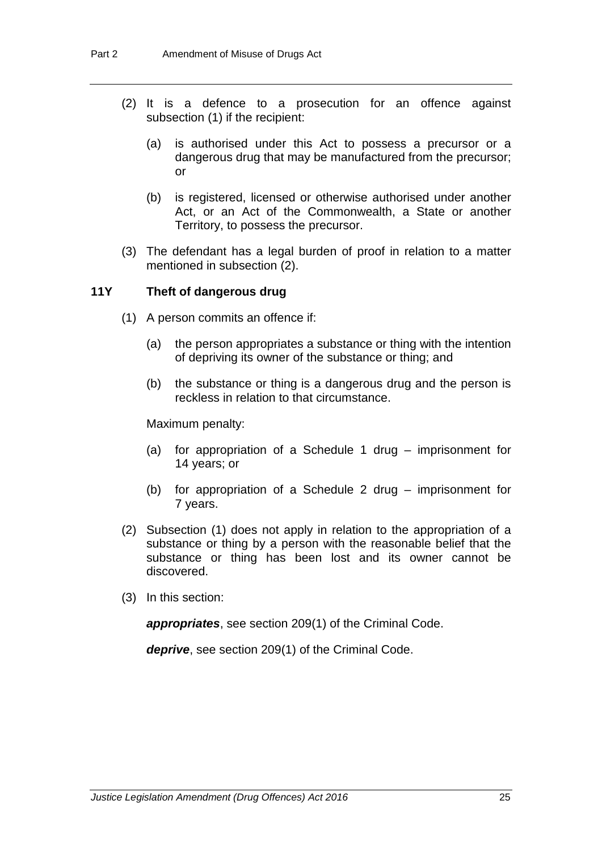- (2) It is a defence to a prosecution for an offence against subsection (1) if the recipient:
	- (a) is authorised under this Act to possess a precursor or a dangerous drug that may be manufactured from the precursor; or
	- (b) is registered, licensed or otherwise authorised under another Act, or an Act of the Commonwealth, a State or another Territory, to possess the precursor.
- (3) The defendant has a legal burden of proof in relation to a matter mentioned in subsection (2).

# **11Y Theft of dangerous drug**

- (1) A person commits an offence if:
	- (a) the person appropriates a substance or thing with the intention of depriving its owner of the substance or thing; and
	- (b) the substance or thing is a dangerous drug and the person is reckless in relation to that circumstance.

Maximum penalty:

- (a) for appropriation of a Schedule 1 drug imprisonment for 14 years; or
- (b) for appropriation of a Schedule 2 drug imprisonment for 7 years.
- (2) Subsection (1) does not apply in relation to the appropriation of a substance or thing by a person with the reasonable belief that the substance or thing has been lost and its owner cannot be discovered.
- (3) In this section:

*appropriates*, see section 209(1) of the Criminal Code.

*deprive*, see section 209(1) of the Criminal Code.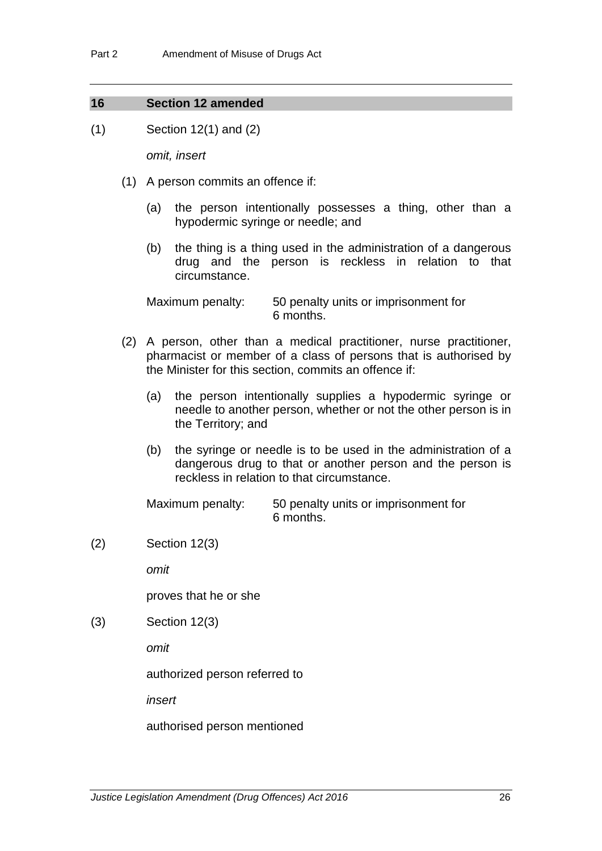#### **16 Section 12 amended**

(1) Section 12(1) and (2)

*omit, insert*

- (1) A person commits an offence if:
	- (a) the person intentionally possesses a thing, other than a hypodermic syringe or needle; and
	- (b) the thing is a thing used in the administration of a dangerous drug and the person is reckless in relation to that circumstance.

Maximum penalty: 50 penalty units or imprisonment for 6 months.

- (2) A person, other than a medical practitioner, nurse practitioner, pharmacist or member of a class of persons that is authorised by the Minister for this section, commits an offence if:
	- (a) the person intentionally supplies a hypodermic syringe or needle to another person, whether or not the other person is in the Territory; and
	- (b) the syringe or needle is to be used in the administration of a dangerous drug to that or another person and the person is reckless in relation to that circumstance.

Maximum penalty: 50 penalty units or imprisonment for 6 months.

(2) Section 12(3)

*omit*

proves that he or she

(3) Section 12(3)

*omit*

authorized person referred to

*insert*

authorised person mentioned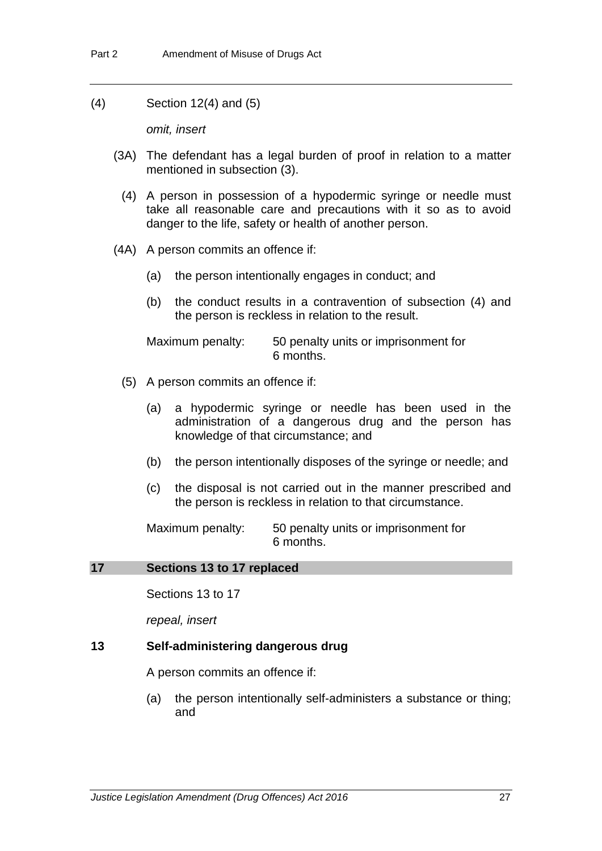(4) Section 12(4) and (5)

*omit, insert*

- (3A) The defendant has a legal burden of proof in relation to a matter mentioned in subsection (3).
	- (4) A person in possession of a hypodermic syringe or needle must take all reasonable care and precautions with it so as to avoid danger to the life, safety or health of another person.
- (4A) A person commits an offence if:
	- (a) the person intentionally engages in conduct; and
	- (b) the conduct results in a contravention of subsection (4) and the person is reckless in relation to the result.

Maximum penalty: 50 penalty units or imprisonment for 6 months.

- (5) A person commits an offence if:
	- (a) a hypodermic syringe or needle has been used in the administration of a dangerous drug and the person has knowledge of that circumstance; and
	- (b) the person intentionally disposes of the syringe or needle; and
	- (c) the disposal is not carried out in the manner prescribed and the person is reckless in relation to that circumstance.

Maximum penalty: 50 penalty units or imprisonment for 6 months.

#### **17 Sections 13 to 17 replaced**

Sections 13 to 17

*repeal, insert*

#### **13 Self-administering dangerous drug**

A person commits an offence if:

(a) the person intentionally self-administers a substance or thing; and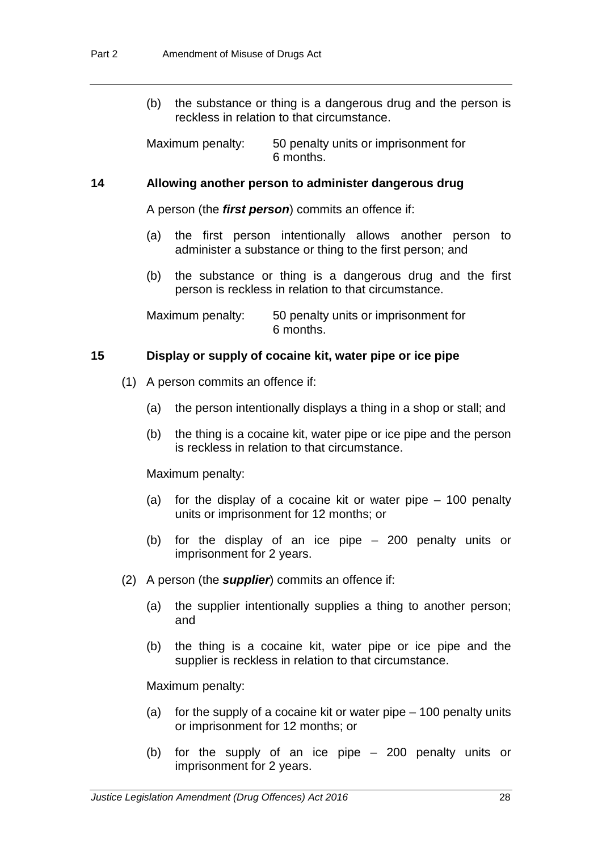(b) the substance or thing is a dangerous drug and the person is reckless in relation to that circumstance.

Maximum penalty: 50 penalty units or imprisonment for 6 months.

### **14 Allowing another person to administer dangerous drug**

A person (the *first person*) commits an offence if:

- (a) the first person intentionally allows another person to administer a substance or thing to the first person; and
- (b) the substance or thing is a dangerous drug and the first person is reckless in relation to that circumstance.

Maximum penalty: 50 penalty units or imprisonment for 6 months.

#### **15 Display or supply of cocaine kit, water pipe or ice pipe**

- (1) A person commits an offence if:
	- (a) the person intentionally displays a thing in a shop or stall; and
	- (b) the thing is a cocaine kit, water pipe or ice pipe and the person is reckless in relation to that circumstance.

Maximum penalty:

- (a) for the display of a cocaine kit or water pipe 100 penalty units or imprisonment for 12 months; or
- (b) for the display of an ice pipe 200 penalty units or imprisonment for 2 years.
- (2) A person (the *supplier*) commits an offence if:
	- (a) the supplier intentionally supplies a thing to another person; and
	- (b) the thing is a cocaine kit, water pipe or ice pipe and the supplier is reckless in relation to that circumstance.

Maximum penalty:

- (a) for the supply of a cocaine kit or water pipe 100 penalty units or imprisonment for 12 months; or
- (b) for the supply of an ice pipe 200 penalty units or imprisonment for 2 years.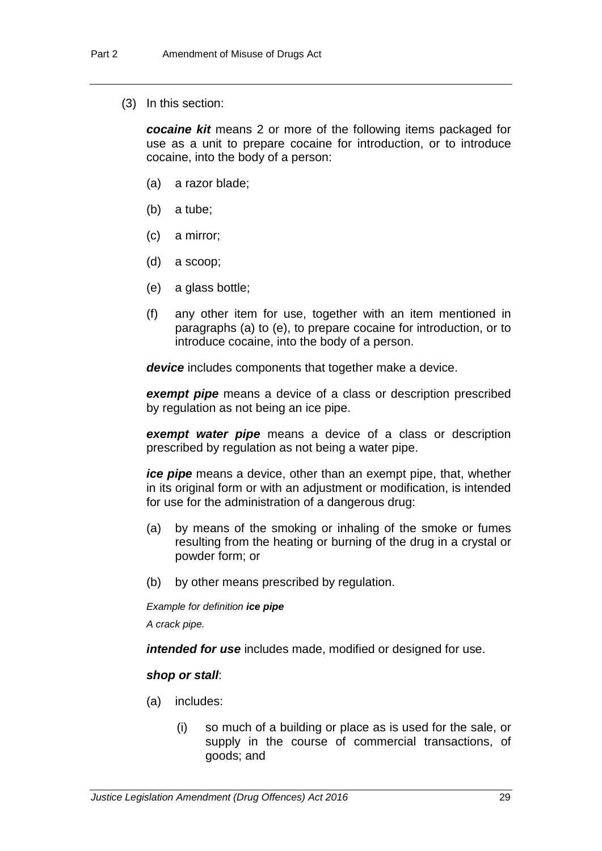(3) In this section:

*cocaine kit* means 2 or more of the following items packaged for use as a unit to prepare cocaine for introduction, or to introduce cocaine, into the body of a person:

- (a) a razor blade;
- (b) a tube;
- (c) a mirror;
- (d) a scoop;
- (e) a glass bottle;
- (f) any other item for use, together with an item mentioned in paragraphs (a) to (e), to prepare cocaine for introduction, or to introduce cocaine, into the body of a person.

*device* includes components that together make a device.

*exempt pipe* means a device of a class or description prescribed by regulation as not being an ice pipe.

*exempt water pipe* means a device of a class or description prescribed by regulation as not being a water pipe.

*ice pipe* means a device, other than an exempt pipe, that, whether in its original form or with an adjustment or modification, is intended for use for the administration of a dangerous drug:

- (a) by means of the smoking or inhaling of the smoke or fumes resulting from the heating or burning of the drug in a crystal or powder form; or
- (b) by other means prescribed by regulation.

*Example for definition ice pipe*

*A crack pipe.*

*intended for use* includes made, modified or designed for use.

#### *shop or stall*:

- (a) includes:
	- (i) so much of a building or place as is used for the sale, or supply in the course of commercial transactions, of goods; and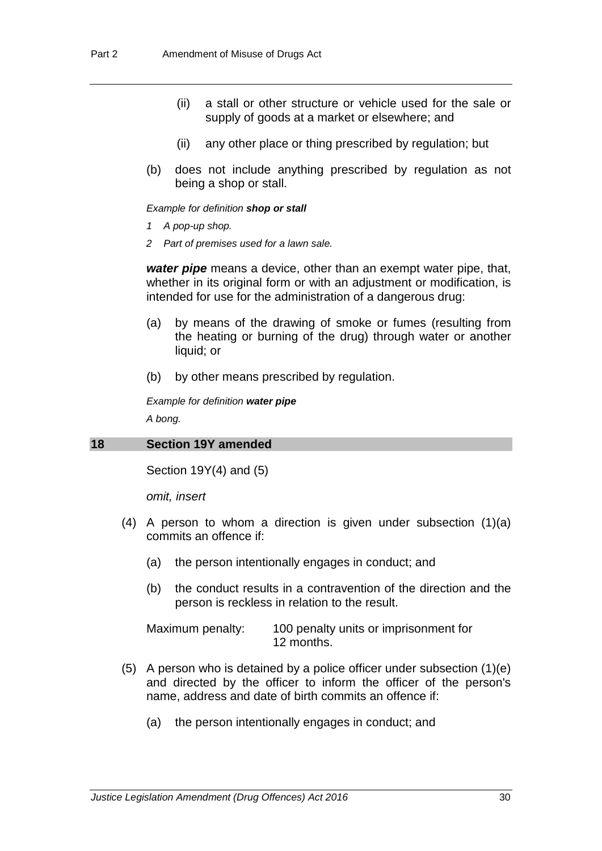- (ii) a stall or other structure or vehicle used for the sale or supply of goods at a market or elsewhere; and
- (ii) any other place or thing prescribed by regulation; but
- (b) does not include anything prescribed by regulation as not being a shop or stall.

#### *Example for definition shop or stall*

- *1 A pop-up shop.*
- *2 Part of premises used for a lawn sale.*

*water pipe* means a device, other than an exempt water pipe, that, whether in its original form or with an adjustment or modification, is intended for use for the administration of a dangerous drug:

- (a) by means of the drawing of smoke or fumes (resulting from the heating or burning of the drug) through water or another liquid; or
- (b) by other means prescribed by regulation.

*Example for definition water pipe*

*A bong.*

#### **18 Section 19Y amended**

Section 19Y(4) and (5)

*omit, insert*

- (4) A person to whom a direction is given under subsection (1)(a) commits an offence if:
	- (a) the person intentionally engages in conduct; and
	- (b) the conduct results in a contravention of the direction and the person is reckless in relation to the result.

| Maximum penalty: | 100 penalty units or imprisonment for |
|------------------|---------------------------------------|
|                  | 12 months.                            |

- (5) A person who is detained by a police officer under subsection (1)(e) and directed by the officer to inform the officer of the person's name, address and date of birth commits an offence if:
	- (a) the person intentionally engages in conduct; and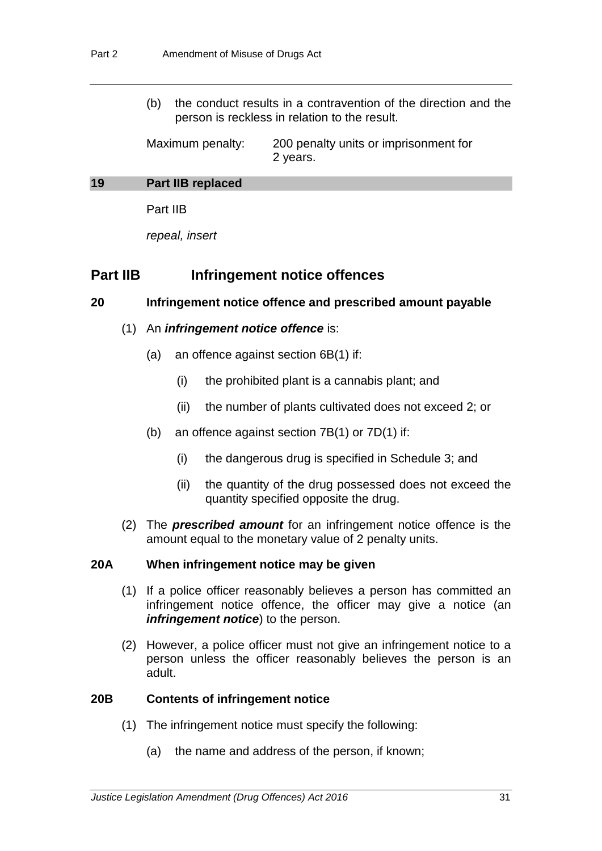(b) the conduct results in a contravention of the direction and the person is reckless in relation to the result.

Maximum penalty: 200 penalty units or imprisonment for 2 years.

#### **19 Part IIB replaced**

Part IIB

*repeal, insert*

# **Part IIB Infringement notice offences**

# **20 Infringement notice offence and prescribed amount payable**

- (1) An *infringement notice offence* is:
	- (a) an offence against section 6B(1) if:
		- (i) the prohibited plant is a cannabis plant; and
		- (ii) the number of plants cultivated does not exceed 2; or
	- (b) an offence against section 7B(1) or 7D(1) if:
		- (i) the dangerous drug is specified in Schedule 3; and
		- (ii) the quantity of the drug possessed does not exceed the quantity specified opposite the drug.
- (2) The *prescribed amount* for an infringement notice offence is the amount equal to the monetary value of 2 penalty units.

# **20A When infringement notice may be given**

- (1) If a police officer reasonably believes a person has committed an infringement notice offence, the officer may give a notice (an *infringement notice*) to the person.
- (2) However, a police officer must not give an infringement notice to a person unless the officer reasonably believes the person is an adult.

# **20B Contents of infringement notice**

- (1) The infringement notice must specify the following:
	- (a) the name and address of the person, if known;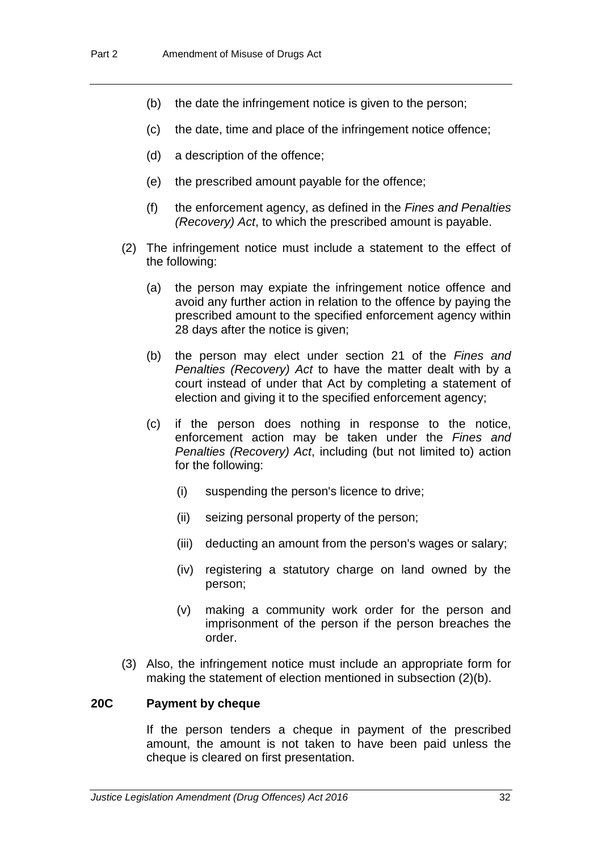- (b) the date the infringement notice is given to the person;
- (c) the date, time and place of the infringement notice offence;
- (d) a description of the offence;
- (e) the prescribed amount payable for the offence;
- (f) the enforcement agency, as defined in the *Fines and Penalties (Recovery) Act*, to which the prescribed amount is payable.
- (2) The infringement notice must include a statement to the effect of the following:
	- (a) the person may expiate the infringement notice offence and avoid any further action in relation to the offence by paying the prescribed amount to the specified enforcement agency within 28 days after the notice is given;
	- (b) the person may elect under section 21 of the *Fines and Penalties (Recovery) Act* to have the matter dealt with by a court instead of under that Act by completing a statement of election and giving it to the specified enforcement agency;
	- (c) if the person does nothing in response to the notice, enforcement action may be taken under the *Fines and Penalties (Recovery) Act*, including (but not limited to) action for the following:
		- (i) suspending the person's licence to drive;
		- (ii) seizing personal property of the person;
		- (iii) deducting an amount from the person's wages or salary;
		- (iv) registering a statutory charge on land owned by the person;
		- (v) making a community work order for the person and imprisonment of the person if the person breaches the order.
- (3) Also, the infringement notice must include an appropriate form for making the statement of election mentioned in subsection (2)(b).

# **20C Payment by cheque**

If the person tenders a cheque in payment of the prescribed amount, the amount is not taken to have been paid unless the cheque is cleared on first presentation.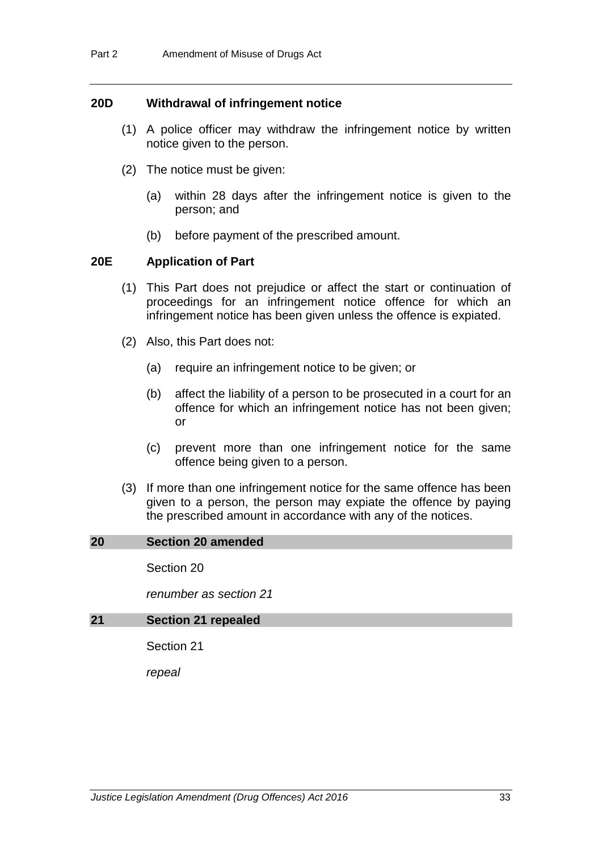#### **20D Withdrawal of infringement notice**

- (1) A police officer may withdraw the infringement notice by written notice given to the person.
- (2) The notice must be given:
	- (a) within 28 days after the infringement notice is given to the person; and
	- (b) before payment of the prescribed amount.

#### **20E Application of Part**

- (1) This Part does not prejudice or affect the start or continuation of proceedings for an infringement notice offence for which an infringement notice has been given unless the offence is expiated.
- (2) Also, this Part does not:
	- (a) require an infringement notice to be given; or
	- (b) affect the liability of a person to be prosecuted in a court for an offence for which an infringement notice has not been given; or
	- (c) prevent more than one infringement notice for the same offence being given to a person.
- (3) If more than one infringement notice for the same offence has been given to a person, the person may expiate the offence by paying the prescribed amount in accordance with any of the notices.

#### **20 Section 20 amended**

Section 20

*renumber as section 21*

#### **21 Section 21 repealed**

Section 21

*repeal*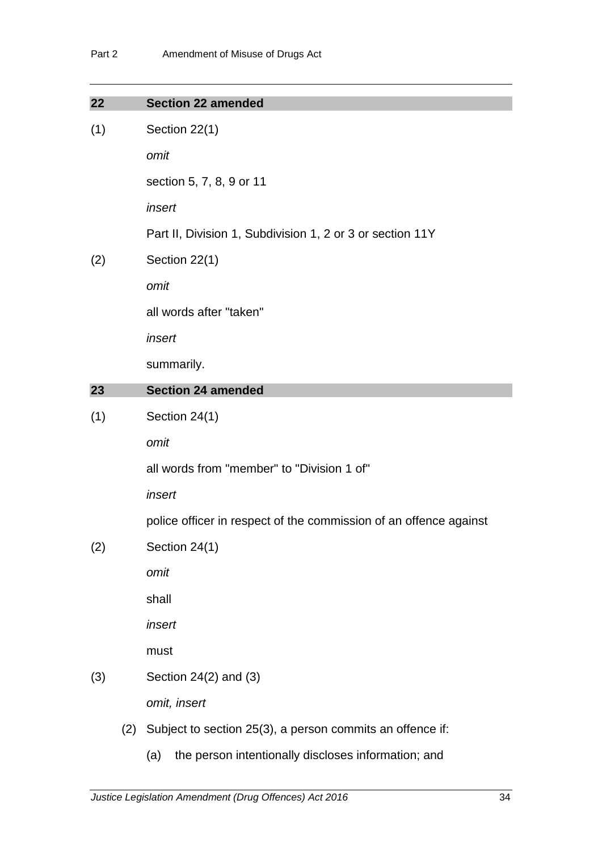| 22                   |        | <b>Section 22 amended</b>                                         |  |  |
|----------------------|--------|-------------------------------------------------------------------|--|--|
| (1)                  |        | Section 22(1)                                                     |  |  |
|                      |        | omit                                                              |  |  |
|                      |        | section 5, 7, 8, 9 or 11                                          |  |  |
|                      |        | insert                                                            |  |  |
|                      |        | Part II, Division 1, Subdivision 1, 2 or 3 or section 11Y         |  |  |
| (2)                  |        | Section 22(1)                                                     |  |  |
|                      |        | omit                                                              |  |  |
|                      |        | all words after "taken"                                           |  |  |
|                      |        | insert                                                            |  |  |
|                      |        | summarily.                                                        |  |  |
| 23                   |        | <b>Section 24 amended</b>                                         |  |  |
| (1)                  |        | Section 24(1)                                                     |  |  |
|                      |        | omit                                                              |  |  |
|                      |        | all words from "member" to "Division 1 of"                        |  |  |
|                      | insert |                                                                   |  |  |
|                      |        | police officer in respect of the commission of an offence against |  |  |
| (2)<br>Section 24(1) |        |                                                                   |  |  |
|                      |        | omit                                                              |  |  |
|                      |        | shall                                                             |  |  |
|                      |        | insert                                                            |  |  |
|                      |        | must                                                              |  |  |
| (3)                  |        | Section $24(2)$ and $(3)$                                         |  |  |
|                      |        | omit, insert                                                      |  |  |
|                      | (2)    | Subject to section 25(3), a person commits an offence if:         |  |  |
|                      |        | the person intentionally discloses information; and<br>(a)        |  |  |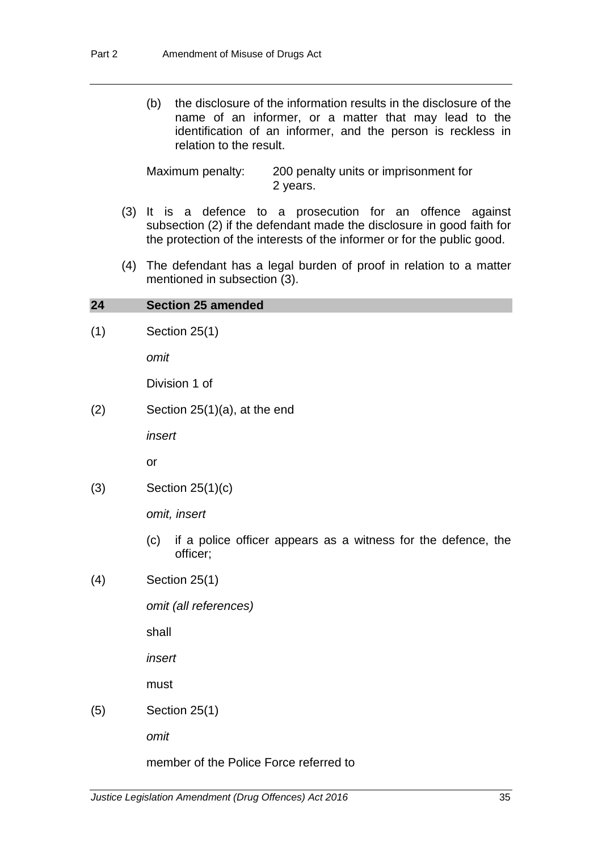(b) the disclosure of the information results in the disclosure of the name of an informer, or a matter that may lead to the identification of an informer, and the person is reckless in relation to the result.

Maximum penalty: 200 penalty units or imprisonment for 2 years.

- (3) It is a defence to a prosecution for an offence against subsection (2) if the defendant made the disclosure in good faith for the protection of the interests of the informer or for the public good.
- (4) The defendant has a legal burden of proof in relation to a matter mentioned in subsection (3).

#### **24 Section 25 amended**

(1) Section 25(1)

*omit*

Division 1 of

 $(2)$  Section 25 $(1)(a)$ , at the end

*insert* 

or

(3) Section 25(1)(c)

*omit, insert*

- (c) if a police officer appears as a witness for the defence, the officer;
- (4) Section 25(1)

*omit (all references)*

shall

*insert*

must

(5) Section 25(1)

*omit*

member of the Police Force referred to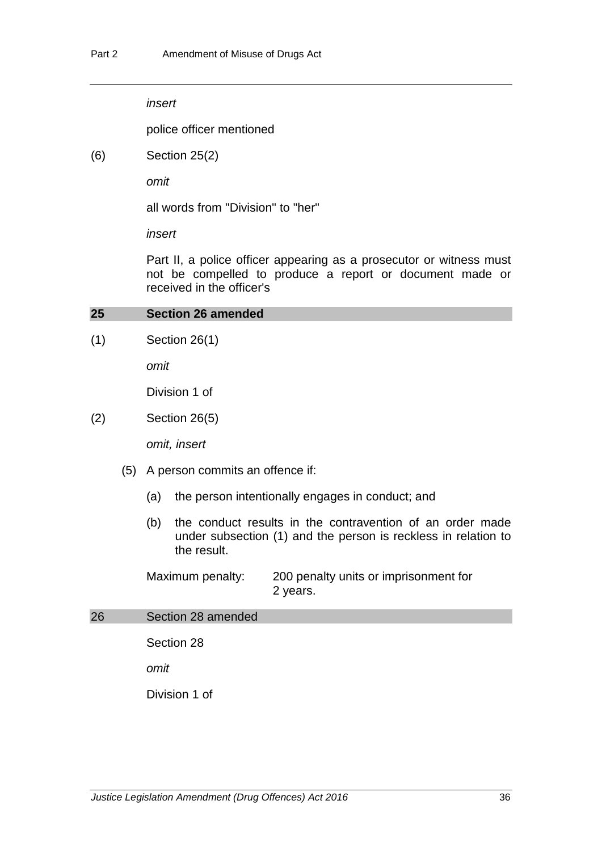*insert*

police officer mentioned

(6) Section 25(2)

*omit*

all words from "Division" to "her"

*insert*

Part II, a police officer appearing as a prosecutor or witness must not be compelled to produce a report or document made or received in the officer's

#### **25 Section 26 amended**

(1) Section 26(1)

*omit*

Division 1 of

(2) Section 26(5)

*omit, insert*

- (5) A person commits an offence if:
	- (a) the person intentionally engages in conduct; and
	- (b) the conduct results in the contravention of an order made under subsection (1) and the person is reckless in relation to the result.

Maximum penalty: 200 penalty units or imprisonment for 2 years.

# 26 Section 28 amended

Section 28

*omit*

Division 1 of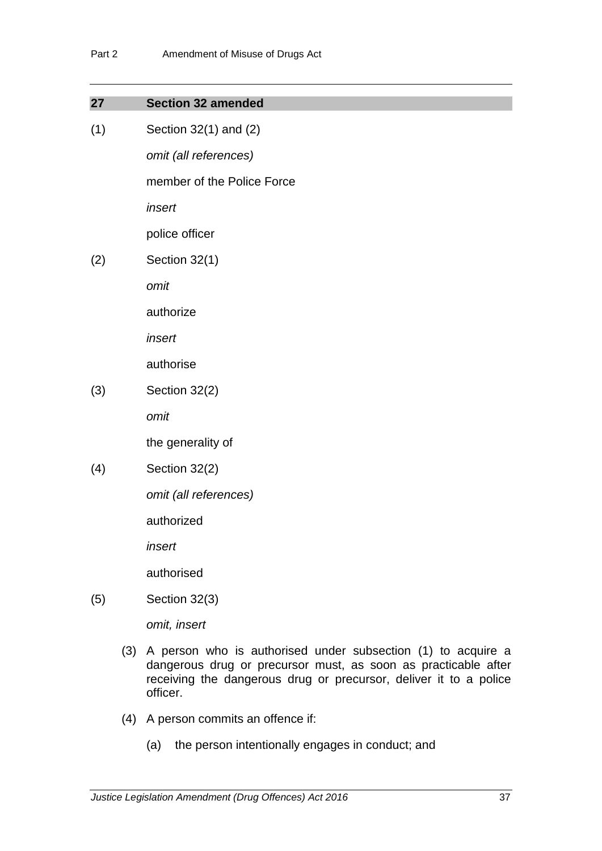| 27  | <b>Section 32 amended</b>                         |
|-----|---------------------------------------------------|
| (1) | Section 32(1) and (2)                             |
|     | omit (all references)                             |
|     | member of the Police Force                        |
|     | insert                                            |
|     | police officer                                    |
| (2) | Section 32(1)                                     |
|     | omit                                              |
|     | authorize                                         |
|     | insert                                            |
|     | authorise                                         |
| (3) | Section 32(2)                                     |
|     | omit                                              |
|     | the generality of                                 |
| (4) | Section 32(2)                                     |
|     | omit (all references)                             |
|     | authorized                                        |
|     | insert                                            |
|     | authorised                                        |
| (5) | Section 32(3)                                     |
|     | omit, insert                                      |
|     | $(3)$ $\Delta$ narson who is quithorisad undar su |

- (3) A person who is authorised under subsection (1) to acquire a dangerous drug or precursor must, as soon as practicable after receiving the dangerous drug or precursor, deliver it to a police officer.
- (4) A person commits an offence if:
	- (a) the person intentionally engages in conduct; and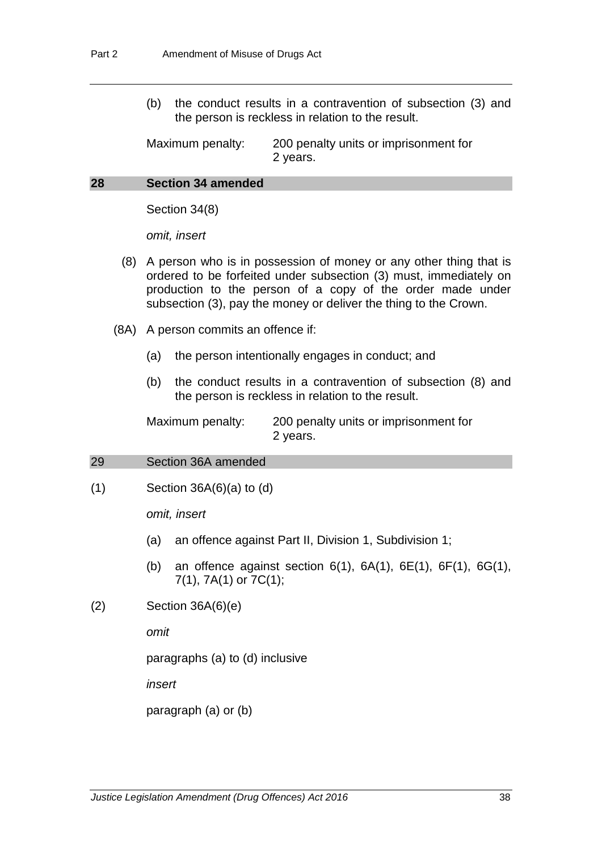(b) the conduct results in a contravention of subsection (3) and the person is reckless in relation to the result.

Maximum penalty: 200 penalty units or imprisonment for 2 years.

### **28 Section 34 amended**

Section 34(8)

*omit, insert*

- (8) A person who is in possession of money or any other thing that is ordered to be forfeited under subsection (3) must, immediately on production to the person of a copy of the order made under subsection (3), pay the money or deliver the thing to the Crown.
- (8A) A person commits an offence if:
	- (a) the person intentionally engages in conduct; and
	- (b) the conduct results in a contravention of subsection (8) and the person is reckless in relation to the result.

Maximum penalty: 200 penalty units or imprisonment for 2 years.

# 29 Section 36A amended

 $(1)$  Section 36A $(6)(a)$  to  $(d)$ 

*omit, insert*

- (a) an offence against Part II, Division 1, Subdivision 1;
- (b) an offence against section  $6(1)$ ,  $6A(1)$ ,  $6E(1)$ ,  $6F(1)$ ,  $6G(1)$ , 7(1), 7A(1) or 7C(1);
- (2) Section 36A(6)(e)

*omit*

paragraphs (a) to (d) inclusive

*insert* 

paragraph (a) or (b)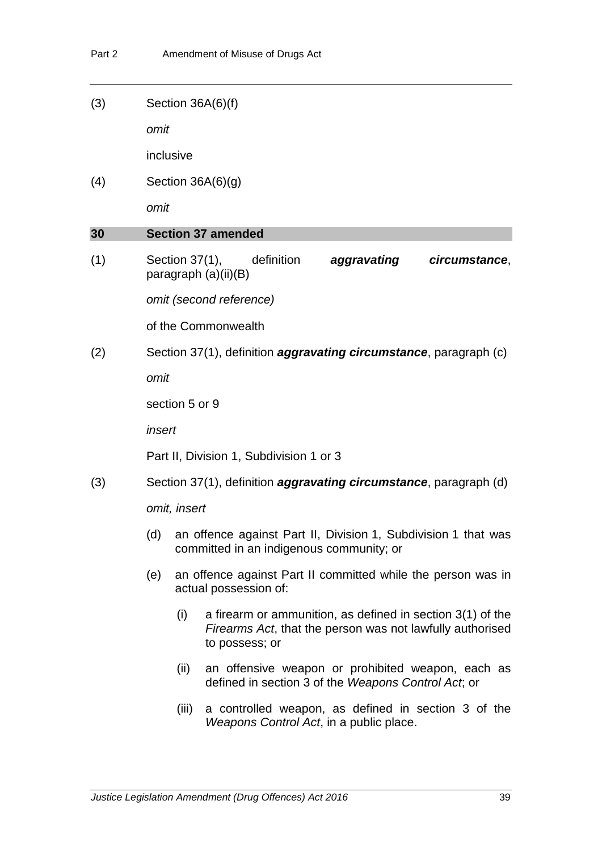(3) Section 36A(6)(f)

*omit*

inclusive

(4) Section 36A(6)(g)

*omit*

# **30 Section 37 amended**

(1) Section 37(1), definition *aggravating circumstance*, paragraph (a)(ii)(B)

*omit (second reference)*

of the Commonwealth

(2) Section 37(1), definition *aggravating circumstance*, paragraph (c)

*omit*

section 5 or 9

*insert*

Part II, Division 1, Subdivision 1 or 3

(3) Section 37(1), definition *aggravating circumstance*, paragraph (d)

*omit, insert*

- (d) an offence against Part II, Division 1, Subdivision 1 that was committed in an indigenous community; or
- (e) an offence against Part II committed while the person was in actual possession of:
	- (i) a firearm or ammunition, as defined in section 3(1) of the *Firearms Act*, that the person was not lawfully authorised to possess; or
	- (ii) an offensive weapon or prohibited weapon, each as defined in section 3 of the *Weapons Control Act*; or
	- (iii) a controlled weapon, as defined in section 3 of the *Weapons Control Act*, in a public place.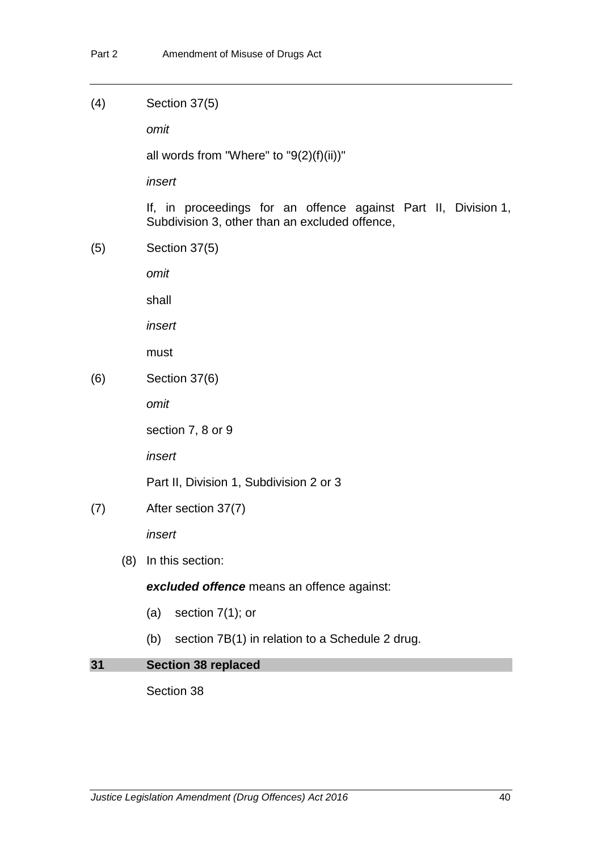(4) Section 37(5)

*omit*

all words from "Where" to "9(2)(f)(ii))"

*insert*

If, in proceedings for an offence against Part II, Division 1, Subdivision 3, other than an excluded offence,

(5) Section 37(5)

*omit*

shall

*insert*

must

(6) Section 37(6)

*omit*

section 7, 8 or 9

*insert*

Part II, Division 1, Subdivision 2 or 3

(7) After section 37(7)

*insert*

(8) In this section:

*excluded offence* means an offence against:

- (a) section 7(1); or
- (b) section 7B(1) in relation to a Schedule 2 drug.

# **31 Section 38 replaced**

Section 38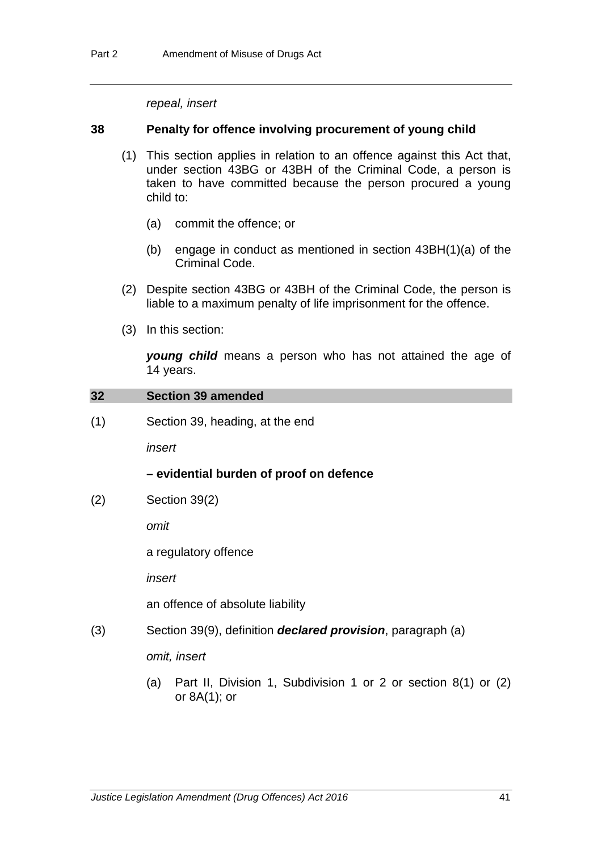*repeal, insert*

### **38 Penalty for offence involving procurement of young child**

- (1) This section applies in relation to an offence against this Act that, under section 43BG or 43BH of the Criminal Code, a person is taken to have committed because the person procured a young child to:
	- (a) commit the offence; or
	- (b) engage in conduct as mentioned in section 43BH(1)(a) of the Criminal Code.
- (2) Despite section 43BG or 43BH of the Criminal Code, the person is liable to a maximum penalty of life imprisonment for the offence.
- (3) In this section:

*young child* means a person who has not attained the age of 14 years.

#### **32 Section 39 amended**

(1) Section 39, heading, at the end

*insert*

#### **– evidential burden of proof on defence**

(2) Section 39(2)

*omit*

a regulatory offence

*insert*

an offence of absolute liability

(3) Section 39(9), definition *declared provision*, paragraph (a)

*omit, insert*

(a) Part II, Division 1, Subdivision 1 or 2 or section 8(1) or (2) or 8A(1); or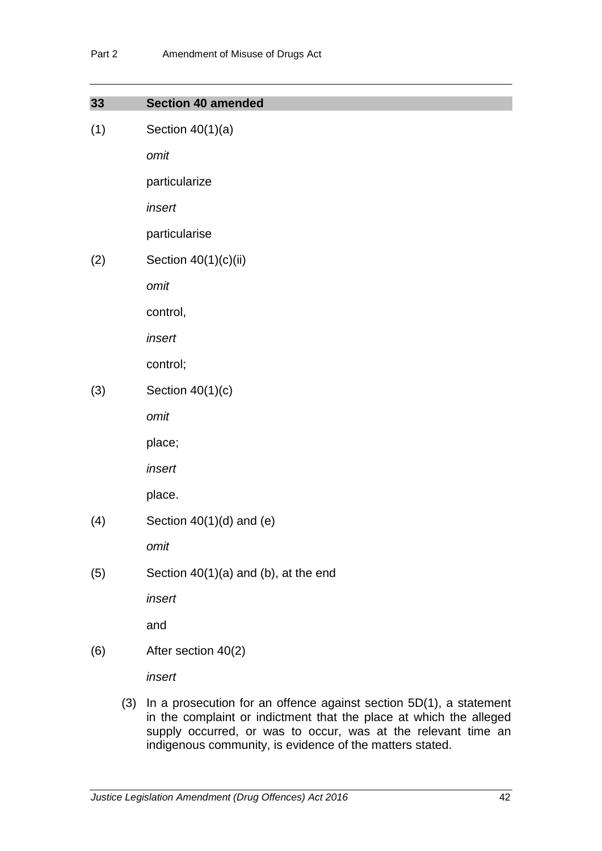| 33  | <b>Section 40 amended</b>            |
|-----|--------------------------------------|
| (1) | Section $40(1)(a)$                   |
|     | omit                                 |
|     | particularize                        |
|     | insert                               |
|     | particularise                        |
| (2) | Section 40(1)(c)(ii)                 |
|     | omit                                 |
|     | control,                             |
|     | insert                               |
|     | control;                             |
| (3) | Section $40(1)(c)$                   |
|     | omit                                 |
|     | place;                               |
|     | insert                               |
|     | place.                               |
| (4) | Section $40(1)(d)$ and (e)           |
|     | omit                                 |
| (5) | Section 40(1)(a) and (b), at the end |
|     | insert                               |
|     | and                                  |
| (6) | After section 40(2)                  |
|     | insert                               |
|     |                                      |

(3) In a prosecution for an offence against section 5D(1), a statement in the complaint or indictment that the place at which the alleged supply occurred, or was to occur, was at the relevant time an indigenous community, is evidence of the matters stated.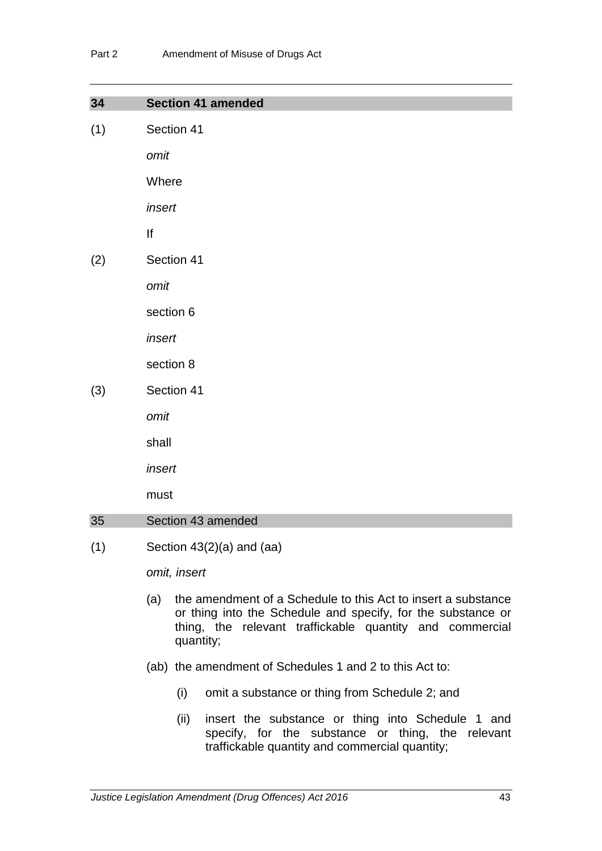| 34  | <b>Section 41 amended</b>                                                                                                            |
|-----|--------------------------------------------------------------------------------------------------------------------------------------|
| (1) | Section 41                                                                                                                           |
|     | omit                                                                                                                                 |
|     | Where                                                                                                                                |
|     | insert                                                                                                                               |
|     | lf                                                                                                                                   |
| (2) | Section 41                                                                                                                           |
|     | omit                                                                                                                                 |
|     | section 6                                                                                                                            |
|     | insert                                                                                                                               |
|     | section 8                                                                                                                            |
| (3) | Section 41                                                                                                                           |
|     | omit                                                                                                                                 |
|     | shall                                                                                                                                |
|     | insert                                                                                                                               |
|     | must                                                                                                                                 |
| 35  | Section 43 amended                                                                                                                   |
| (1) | Section 43(2)(a) and (aa)                                                                                                            |
|     | omit, insert                                                                                                                         |
|     | the amendment of a Schedule to this Act to insert a substance<br>(a)<br>or thing into the Schedule and specify, for the substance or |

- (ab) the amendment of Schedules 1 and 2 to this Act to:
	- (i) omit a substance or thing from Schedule 2; and
	- (ii) insert the substance or thing into Schedule 1 and specify, for the substance or thing, the relevant traffickable quantity and commercial quantity;

thing, the relevant traffickable quantity and commercial

quantity;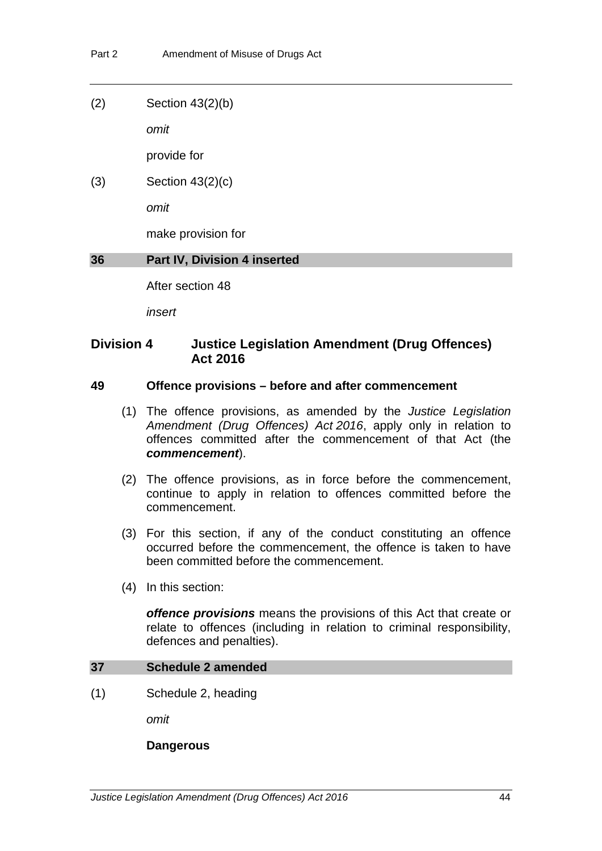(2) Section 43(2)(b)

*omit*

provide for

(3) Section 43(2)(c)

*omit*

make provision for

# **36 Part IV, Division 4 inserted**

After section 48

*insert*

# **Division 4 Justice Legislation Amendment (Drug Offences) Act 2016**

# **49 Offence provisions – before and after commencement**

- (1) The offence provisions, as amended by the *Justice Legislation Amendment (Drug Offences) Act 2016*, apply only in relation to offences committed after the commencement of that Act (the *commencement*).
- (2) The offence provisions, as in force before the commencement, continue to apply in relation to offences committed before the commencement.
- (3) For this section, if any of the conduct constituting an offence occurred before the commencement, the offence is taken to have been committed before the commencement.
- (4) In this section:

*offence provisions* means the provisions of this Act that create or relate to offences (including in relation to criminal responsibility, defences and penalties).

#### **37 Schedule 2 amended**

(1) Schedule 2, heading

*omit*

#### **Dangerous**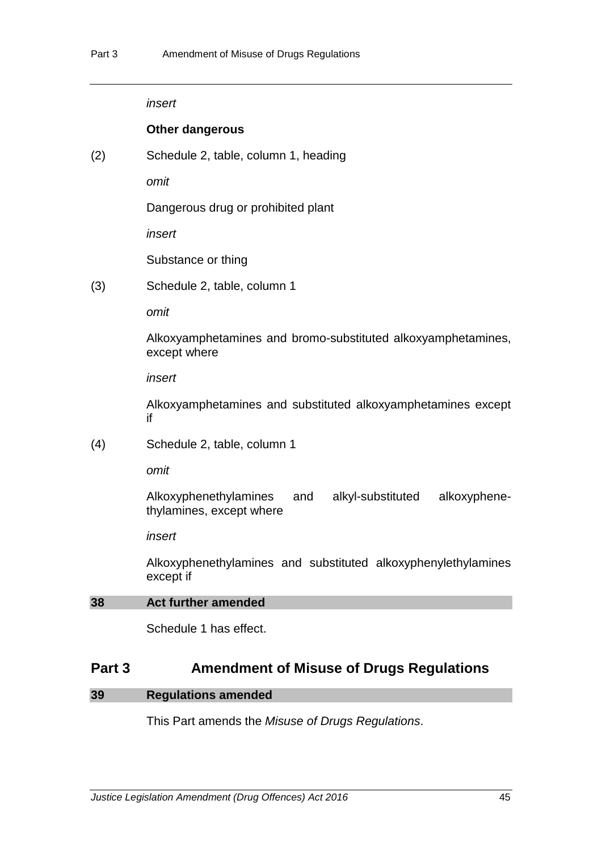#### *insert*

#### **Other dangerous**

(2) Schedule 2, table, column 1, heading

*omit*

Dangerous drug or prohibited plant

*insert*

Substance or thing

(3) Schedule 2, table, column 1

*omit*

Alkoxyamphetamines and bromo-substituted alkoxyamphetamines, except where

*insert*

Alkoxyamphetamines and substituted alkoxyamphetamines except if

(4) Schedule 2, table, column 1

*omit*

Alkoxyphenethylamines and alkyl-substituted alkoxyphenethylamines, except where

*insert*

Alkoxyphenethylamines and substituted alkoxyphenylethylamines except if

### <span id="page-48-0"></span>**38 Act further amended**

Schedule 1 has effect.

# **Part 3 Amendment of Misuse of Drugs Regulations**

# **39 Regulations amended**

This Part amends the *Misuse of Drugs Regulations*.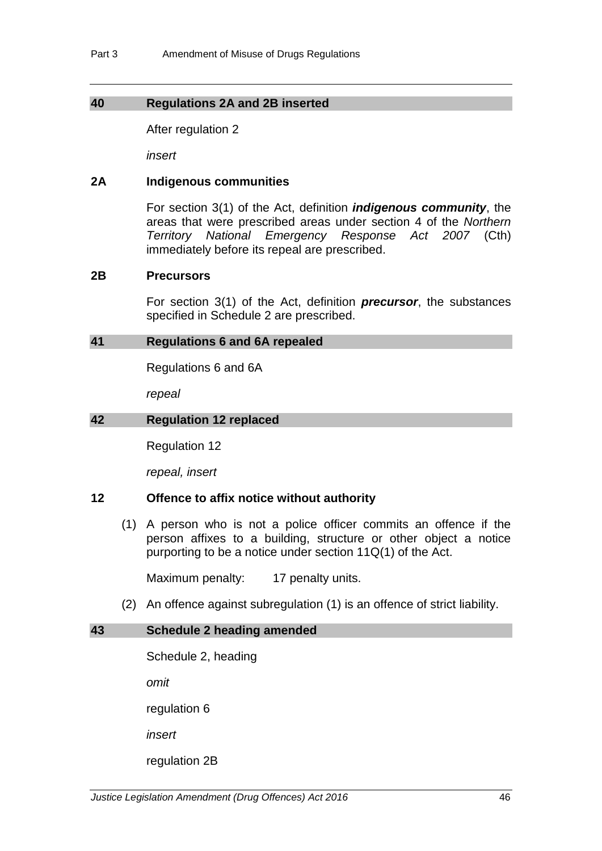# **40 Regulations 2A and 2B inserted**

After regulation 2

*insert*

#### **2A Indigenous communities**

For section 3(1) of the Act, definition *indigenous community*, the areas that were prescribed areas under section 4 of the *Northern Territory National Emergency Response Act 2007* (Cth) immediately before its repeal are prescribed.

#### **2B Precursors**

For section 3(1) of the Act, definition *precursor*, the substances specified in Schedule 2 are prescribed.

#### **41 Regulations 6 and 6A repealed**

Regulations 6 and 6A

*repeal*

#### **42 Regulation 12 replaced**

Regulation 12

*repeal, insert*

#### **12 Offence to affix notice without authority**

(1) A person who is not a police officer commits an offence if the person affixes to a building, structure or other object a notice purporting to be a notice under section 11Q(1) of the Act.

Maximum penalty: 17 penalty units.

(2) An offence against subregulation (1) is an offence of strict liability.

# **43 Schedule 2 heading amended**

Schedule 2, heading

*omit* 

regulation 6

*insert*

regulation 2B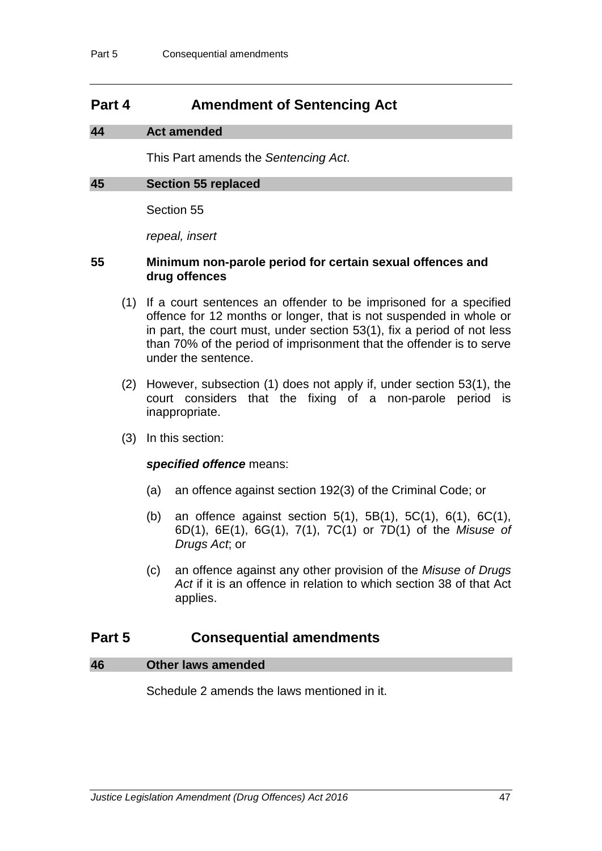# **Part 4 Amendment of Sentencing Act**

# **44 Act amended**

This Part amends the *Sentencing Act*.

#### **45 Section 55 replaced**

Section 55

*repeal, insert*

#### **55 Minimum non-parole period for certain sexual offences and drug offences**

- (1) If a court sentences an offender to be imprisoned for a specified offence for 12 months or longer, that is not suspended in whole or in part, the court must, under section 53(1), fix a period of not less than 70% of the period of imprisonment that the offender is to serve under the sentence.
- (2) However, subsection (1) does not apply if, under section 53(1), the court considers that the fixing of a non-parole period is inappropriate.
- (3) In this section:

#### *specified offence* means:

- (a) an offence against section 192(3) of the Criminal Code; or
- (b) an offence against section 5(1), 5B(1), 5C(1), 6(1), 6C(1), 6D(1), 6E(1), 6G(1), 7(1), 7C(1) or 7D(1) of the *Misuse of Drugs Act*; or
- (c) an offence against any other provision of the *Misuse of Drugs Act* if it is an offence in relation to which section 38 of that Act applies.

# **Part 5 Consequential amendments**

#### **46 Other laws amended**

Schedule 2 amends the laws mentioned in it.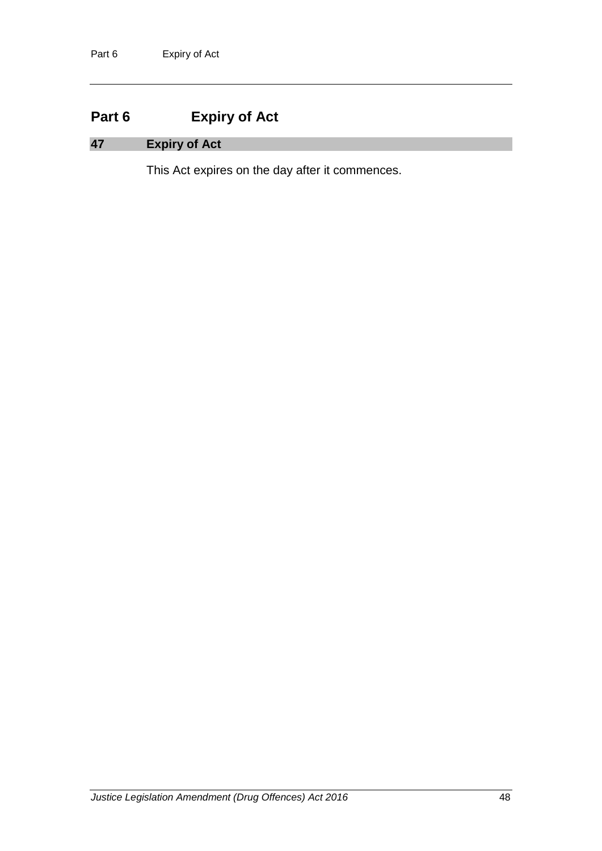# **Part 6 Expiry of Act**

# **47 Expiry of Act**

This Act expires on the day after it commences.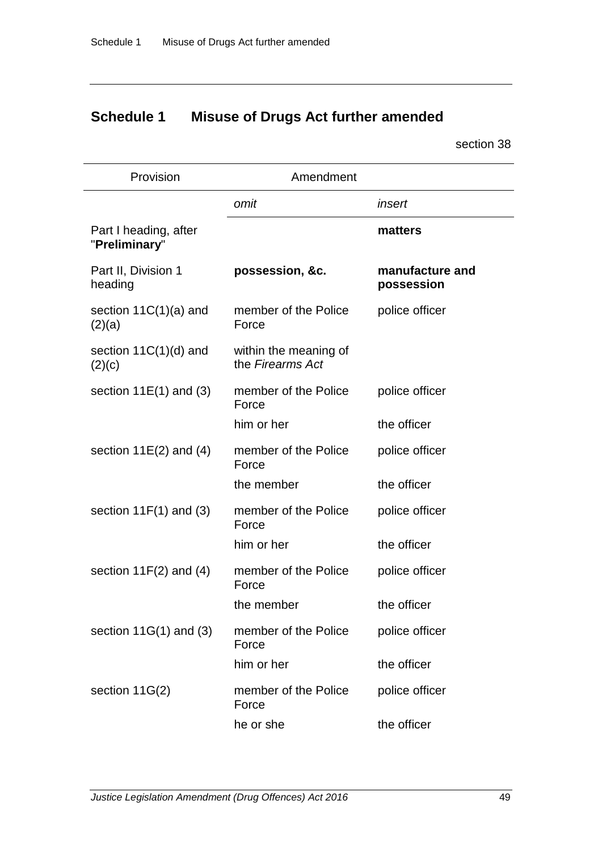# **Schedule 1 Misuse of Drugs Act further amended**

section [38](#page-48-0)

| Provision                              | Amendment                                 |                               |
|----------------------------------------|-------------------------------------------|-------------------------------|
|                                        | omit                                      | insert                        |
| Part I heading, after<br>"Preliminary" |                                           | matters                       |
| Part II, Division 1<br>heading         | possession, &c.                           | manufacture and<br>possession |
| section $11C(1)(a)$ and<br>(2)(a)      | member of the Police<br>Force             | police officer                |
| section $11C(1)(d)$ and<br>(2)(c)      | within the meaning of<br>the Firearms Act |                               |
| section $11E(1)$ and (3)               | member of the Police<br>Force             | police officer                |
|                                        | him or her                                | the officer                   |
| section $11E(2)$ and (4)               | member of the Police<br>Force             | police officer                |
|                                        | the member                                | the officer                   |
| section $11F(1)$ and (3)               | member of the Police<br>Force             | police officer                |
|                                        | him or her                                | the officer                   |
| section $11F(2)$ and $(4)$             | member of the Police<br>Force             | police officer                |
|                                        | the member                                | the officer                   |
| section $11G(1)$ and (3)               | member of the Police<br>Force             | police officer                |
|                                        | him or her                                | the officer                   |
| section 11G(2)                         | member of the Police<br>Force             | police officer                |
|                                        | he or she                                 | the officer                   |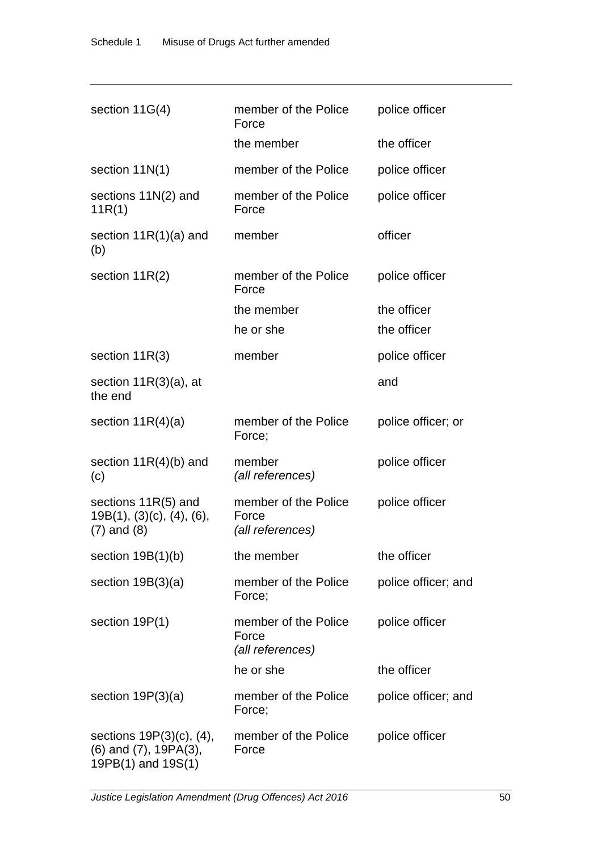| section 11G(4)                                                                      | member of the Police<br>Force                     | police officer      |
|-------------------------------------------------------------------------------------|---------------------------------------------------|---------------------|
|                                                                                     | the member                                        | the officer         |
| section $11N(1)$                                                                    | member of the Police                              | police officer      |
| sections 11N(2) and<br>11R(1)                                                       | member of the Police<br>Force                     | police officer      |
| section $11R(1)(a)$ and<br>(b)                                                      | member                                            | officer             |
| section $11R(2)$                                                                    | member of the Police<br>Force                     | police officer      |
|                                                                                     | the member                                        | the officer         |
|                                                                                     | he or she                                         | the officer         |
| section $11R(3)$                                                                    | member                                            | police officer      |
| section $11R(3)(a)$ , at<br>the end                                                 |                                                   | and                 |
| section $11R(4)(a)$                                                                 | member of the Police<br>Force;                    | police officer; or  |
| section $11R(4)(b)$ and<br>(c)                                                      | member<br>(all references)                        | police officer      |
| sections 11R(5) and<br>$19B(1)$ , $(3)(c)$ , $(4)$ , $(6)$ ,<br>$(7)$ and $(8)$     | member of the Police<br>Force<br>(all references) | police officer      |
| section $19B(1)(b)$                                                                 | the member                                        | the officer         |
| section $19B(3)(a)$                                                                 | member of the Police<br>Force;                    | police officer; and |
| section 19P(1)                                                                      | member of the Police<br>Force<br>(all references) | police officer      |
|                                                                                     | he or she                                         | the officer         |
| section $19P(3)(a)$                                                                 | member of the Police<br>Force;                    | police officer; and |
| sections $19P(3)(c)$ , (4),<br>$(6)$ and $(7)$ , 19PA $(3)$ ,<br>19PB(1) and 19S(1) | member of the Police<br>Force                     | police officer      |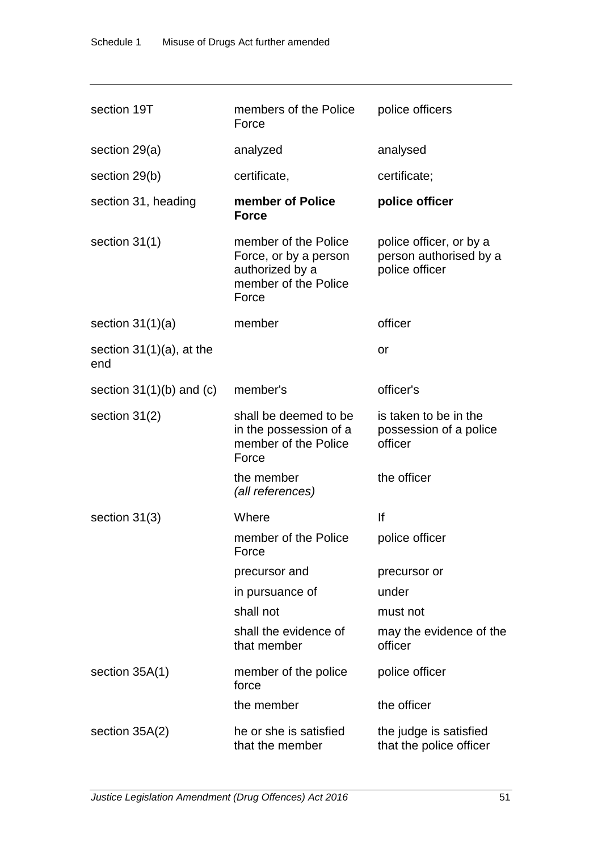| section 19T                        | members of the Police<br>Force                                                                    | police officers                                                     |
|------------------------------------|---------------------------------------------------------------------------------------------------|---------------------------------------------------------------------|
| section 29(a)                      | analyzed                                                                                          | analysed                                                            |
| section 29(b)                      | certificate,                                                                                      | certificate;                                                        |
| section 31, heading                | member of Police<br><b>Force</b>                                                                  | police officer                                                      |
| section $31(1)$                    | member of the Police<br>Force, or by a person<br>authorized by a<br>member of the Police<br>Force | police officer, or by a<br>person authorised by a<br>police officer |
| section $31(1)(a)$                 | member                                                                                            | officer                                                             |
| section $31(1)(a)$ , at the<br>end |                                                                                                   | or                                                                  |
| section $31(1)(b)$ and $(c)$       | member's                                                                                          | officer's                                                           |
| section $31(2)$                    | shall be deemed to be<br>in the possession of a<br>member of the Police<br>Force                  | is taken to be in the<br>possession of a police<br>officer          |
|                                    | the member<br>(all references)                                                                    | the officer                                                         |
| section $31(3)$                    | Where                                                                                             | lf                                                                  |
|                                    | member of the Police<br>Force                                                                     | police officer                                                      |
|                                    | precursor and                                                                                     | precursor or                                                        |
|                                    | in pursuance of                                                                                   | under                                                               |
|                                    | shall not                                                                                         | must not                                                            |
|                                    | shall the evidence of<br>that member                                                              | may the evidence of the<br>officer                                  |
| section 35A(1)                     | member of the police<br>force                                                                     | police officer                                                      |
|                                    | the member                                                                                        | the officer                                                         |
| section $35A(2)$                   | he or she is satisfied<br>that the member                                                         | the judge is satisfied<br>that the police officer                   |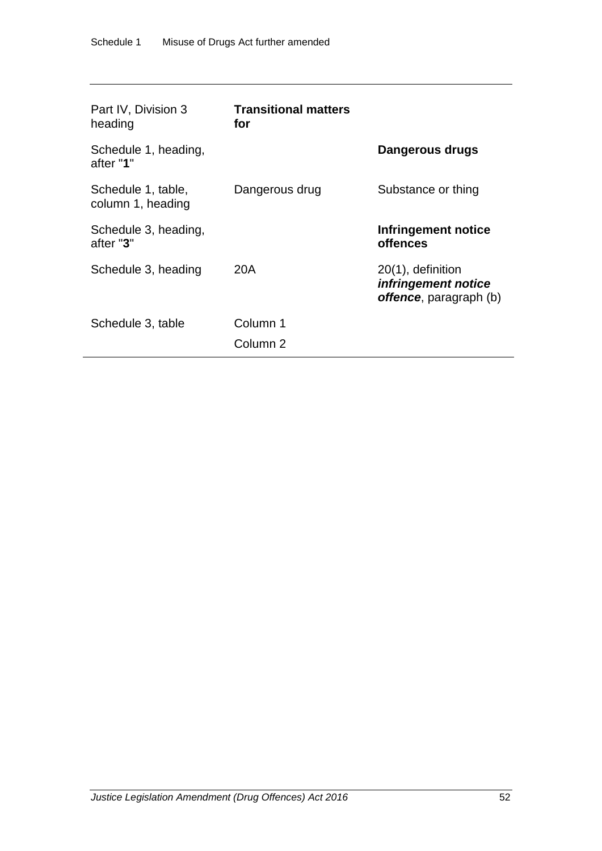| Part IV, Division 3<br>heading          | <b>Transitional matters</b><br>for |                                                                               |
|-----------------------------------------|------------------------------------|-------------------------------------------------------------------------------|
| Schedule 1, heading,<br>after "1"       |                                    | Dangerous drugs                                                               |
| Schedule 1, table,<br>column 1, heading | Dangerous drug                     | Substance or thing                                                            |
| Schedule 3, heading,<br>after "3"       |                                    | Infringement notice<br><b>offences</b>                                        |
| Schedule 3, heading                     | 20A                                | $20(1)$ , definition<br>infringement notice<br><b>offence</b> , paragraph (b) |
| Schedule 3, table                       | Column 1<br>Column <sub>2</sub>    |                                                                               |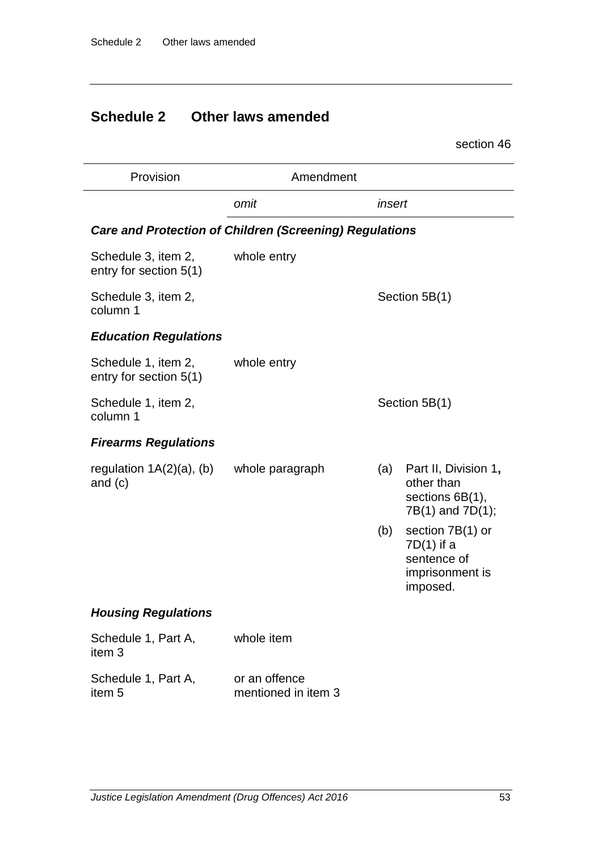# **Schedule 2 Other laws amended**

section 46

| Provision                                     | Amendment                                                      |        |                                                                                |
|-----------------------------------------------|----------------------------------------------------------------|--------|--------------------------------------------------------------------------------|
|                                               | omit                                                           | insert |                                                                                |
|                                               | <b>Care and Protection of Children (Screening) Regulations</b> |        |                                                                                |
| Schedule 3, item 2,<br>entry for section 5(1) | whole entry                                                    |        |                                                                                |
| Schedule 3, item 2,<br>column 1               |                                                                |        | Section 5B(1)                                                                  |
| <b>Education Regulations</b>                  |                                                                |        |                                                                                |
| Schedule 1, item 2,<br>entry for section 5(1) | whole entry                                                    |        |                                                                                |
| Schedule 1, item 2,<br>column 1               |                                                                |        | Section 5B(1)                                                                  |
| <b>Firearms Regulations</b>                   |                                                                |        |                                                                                |
| regulation $1A(2)(a)$ , (b)<br>and $(c)$      | whole paragraph                                                | (a)    | Part II, Division 1,<br>other than<br>sections 6B(1),<br>7B(1) and 7D(1);      |
|                                               |                                                                | (b)    | section 7B(1) or<br>$7D(1)$ if a<br>sentence of<br>imprisonment is<br>imposed. |
| <b>Housing Regulations</b>                    |                                                                |        |                                                                                |
| Schedule 1, Part A,<br>item 3                 | whole item                                                     |        |                                                                                |
| Schedule 1, Part A,<br>item <sub>5</sub>      | or an offence<br>mentioned in item 3                           |        |                                                                                |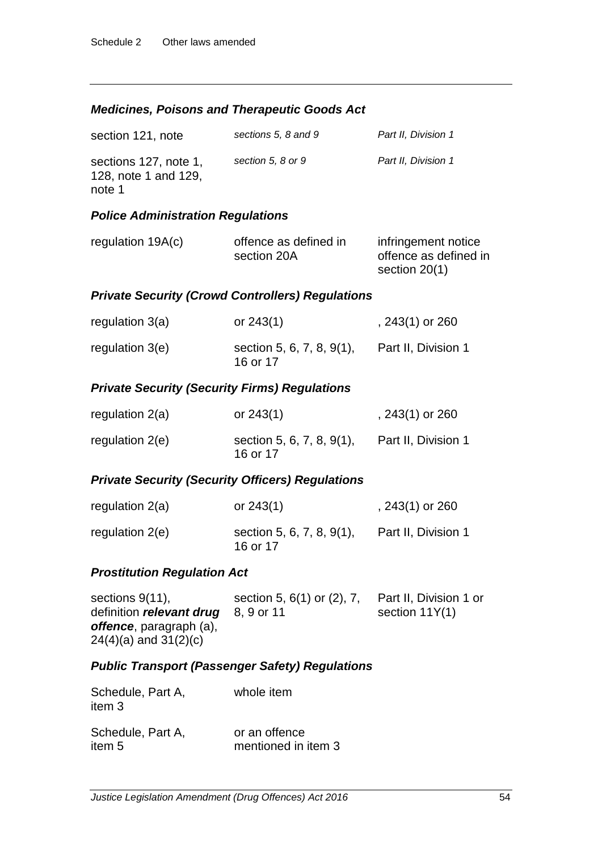### *Medicines, Poisons and Therapeutic Goods Act*

| section 121, note                                       | sections 5, 8 and 9 | Part II, Division 1 |
|---------------------------------------------------------|---------------------|---------------------|
| sections 127, note 1,<br>128, note 1 and 129,<br>note 1 | section 5, 8 or 9   | Part II. Division 1 |

#### *Police Administration Regulations*

| regulation $19A(c)$ | offence as defined in | infringement notice   |
|---------------------|-----------------------|-----------------------|
|                     | section 20A           | offence as defined in |
|                     |                       | section 20(1)         |

#### *Private Security (Crowd Controllers) Regulations*

| regulation 3(a)   | or $243(1)$                           | , 243(1) or 260     |
|-------------------|---------------------------------------|---------------------|
| regulation $3(e)$ | section 5, 6, 7, 8, 9(1),<br>16 or 17 | Part II, Division 1 |

#### *Private Security (Security Firms) Regulations*

| regulation $2(a)$ | or $243(1)$                           | , 243(1) or 260     |
|-------------------|---------------------------------------|---------------------|
| regulation $2(e)$ | section 5, 6, 7, 8, 9(1),<br>16 or 17 | Part II, Division 1 |

# *Private Security (Security Officers) Regulations*

| regulation $2(a)$ | or $243(1)$                           | , $243(1)$ or $260$ |
|-------------------|---------------------------------------|---------------------|
| regulation $2(e)$ | section 5, 6, 7, 8, 9(1),<br>16 or 17 | Part II, Division 1 |

# *Prostitution Regulation Act*

| sections $9(11)$ ,              | section 5, 6(1) or (2), 7, | Part II, Division 1 or |
|---------------------------------|----------------------------|------------------------|
| definition relevant drug        | 8. 9 or 11                 | section $11Y(1)$       |
| <b>offence</b> , paragraph (a), |                            |                        |
| $24(4)(a)$ and $31(2)(c)$       |                            |                        |

# *Public Transport (Passenger Safety) Regulations*

| Schedule, Part A,<br>item 3 | whole item          |
|-----------------------------|---------------------|
| Schedule, Part A,           | or an offence       |
| item 5                      | mentioned in item 3 |